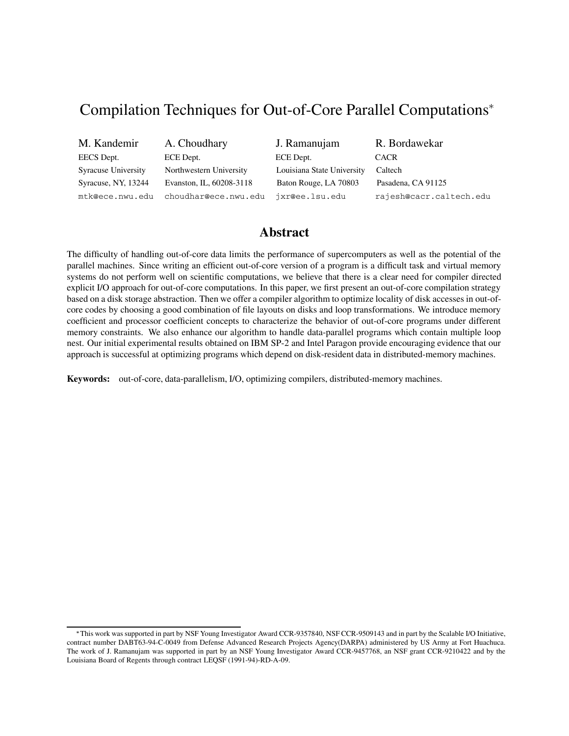# Compilation Techniques for Out-of-Core Parallel Computations

| M. Kandemir         | A. Choudhary             | J. Ramanujam               | R. Bordawekar           |
|---------------------|--------------------------|----------------------------|-------------------------|
| EECS Dept.          | ECE Dept.                | ECE Dept.                  | <b>CACR</b>             |
| Syracuse University | Northwestern University  | Louisiana State University | Caltech                 |
| Syracuse, NY, 13244 | Evanston, IL, 60208-3118 | Baton Rouge, LA 70803      | Pasadena, CA 91125      |
| mtk@ece.nwu.edu     | choudhar@ece.nwu.edu     | jxr@ee.lsu.edu             | rajesh@cacr.caltech.edu |

## **Abstract**

The difficulty of handling out-of-core data limits the performance of supercomputers as well as the potential of the parallel machines. Since writing an efficient out-of-core version of a program is a difficult task and virtual memory systems do not perform well on scientific computations, we believe that there is a clear need for compiler directed explicit I/O approach for out-of-core computations. In this paper, we first present an out-of-core compilation strategy based on a disk storage abstraction. Then we offer a compiler algorithm to optimize locality of disk accesses in out-ofcore codes by choosing a good combination of file layouts on disks and loop transformations. We introduce memory coefficient and processor coefficient concepts to characterize the behavior of out-of-core programs under different memory constraints. We also enhance our algorithm to handle data-parallel programs which contain multiple loop nest. Our initial experimental results obtained on IBM SP-2 and Intel Paragon provide encouraging evidence that our approach is successful at optimizing programs which depend on disk-resident data in distributed-memory machines.

**Keywords:** out-of-core, data-parallelism, I/O, optimizing compilers, distributed-memory machines.

This work was supported in part by NSF Young Investigator Award CCR-9357840, NSF CCR-9509143 and in part by the Scalable I/O Initiative, contract number DABT63-94-C-0049 from Defense Advanced Research Projects Agency(DARPA) administered by US Army at Fort Huachuca. The work of J. Ramanujam was supported in part by an NSF Young Investigator Award CCR-9457768, an NSF grant CCR-9210422 and by the Louisiana Board of Regents through contract LEQSF (1991-94)-RD-A-09.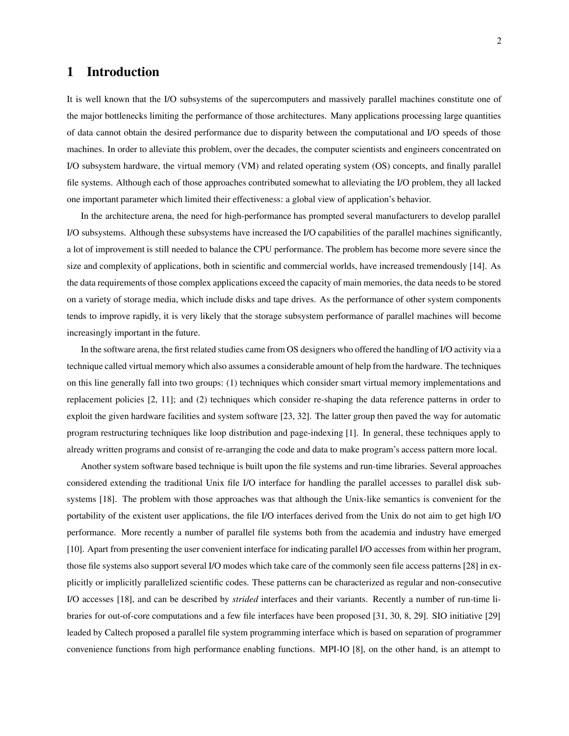### **1 Introduction**

It is well known that the I/O subsystems of the supercomputers and massively parallel machines constitute one of the major bottlenecks limiting the performance of those architectures. Many applications processing large quantities of data cannot obtain the desired performance due to disparity between the computational and I/O speeds of those machines. In order to alleviate this problem, over the decades, the computer scientists and engineers concentrated on I/O subsystem hardware, the virtual memory (VM) and related operating system (OS) concepts, and finally parallel file systems. Although each of those approaches contributed somewhat to alleviating the I/O problem, they all lacked one important parameter which limited their effectiveness: a global view of application's behavior.

In the architecture arena, the need for high-performance has prompted several manufacturers to develop parallel I/O subsystems. Although these subsystems have increased the I/O capabilities of the parallel machines significantly, a lot of improvement is still needed to balance the CPU performance. The problem has become more severe since the size and complexity of applications, both in scientific and commercial worlds, have increased tremendously [14]. As the data requirements of those complex applications exceed the capacity of main memories, the data needs to be stored on a variety of storage media, which include disks and tape drives. As the performance of other system components tends to improve rapidly, it is very likely that the storage subsystem performance of parallel machines will become increasingly important in the future.

In the software arena, the first related studies came from OS designers who offered the handling of I/O activity via a technique called virtual memory which also assumes a considerable amount of help from the hardware. The techniques on this line generally fall into two groups: (1) techniques which consider smart virtual memory implementations and replacement policies [2, 11]; and (2) techniques which consider re-shaping the data reference patterns in order to exploit the given hardware facilities and system software [23, 32]. The latter group then paved the way for automatic program restructuring techniques like loop distribution and page-indexing [1]. In general, these techniques apply to already written programs and consist of re-arranging the code and data to make program's access pattern more local.

Another system software based technique is built upon the file systems and run-time libraries. Several approaches considered extending the traditional Unix file I/O interface for handling the parallel accesses to parallel disk subsystems [18]. The problem with those approaches was that although the Unix-like semantics is convenient for the portability of the existent user applications, the file I/O interfaces derived from the Unix do not aim to get high I/O performance. More recently a number of parallel file systems both from the academia and industry have emerged [10]. Apart from presenting the user convenient interface for indicating parallel I/O accesses from within her program, those file systems also support several I/O modes which take care of the commonly seen file access patterns [28] in explicitly or implicitly parallelized scientific codes. These patterns can be characterized as regular and non-consecutive I/O accesses [18], and can be described by *strided* interfaces and their variants. Recently a number of run-time libraries for out-of-core computations and a few file interfaces have been proposed [31, 30, 8, 29]. SIO initiative [29] leaded by Caltech proposed a parallel file system programming interface which is based on separation of programmer convenience functions from high performance enabling functions. MPI-IO [8], on the other hand, is an attempt to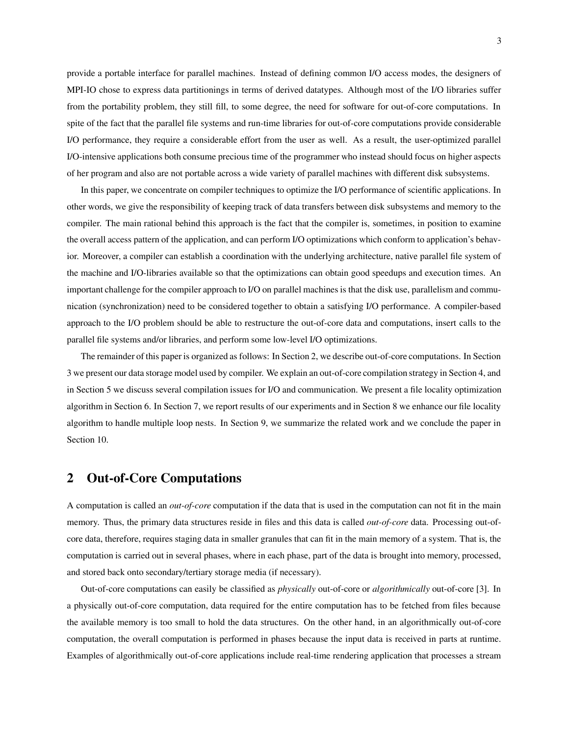provide a portable interface for parallel machines. Instead of defining common I/O access modes, the designers of MPI-IO chose to express data partitionings in terms of derived datatypes. Although most of the I/O libraries suffer from the portability problem, they still fill, to some degree, the need for software for out-of-core computations. In spite of the fact that the parallel file systems and run-time libraries for out-of-core computations provide considerable I/O performance, they require a considerable effort from the user as well. As a result, the user-optimized parallel I/O-intensive applications both consume precious time of the programmer who instead should focus on higher aspects of her program and also are not portable across a wide variety of parallel machines with different disk subsystems.

In this paper, we concentrate on compiler techniques to optimize the I/O performance of scientific applications. In other words, we give the responsibility of keeping track of data transfers between disk subsystems and memory to the compiler. The main rational behind this approach is the fact that the compiler is, sometimes, in position to examine the overall access pattern of the application, and can perform I/O optimizations which conform to application's behavior. Moreover, a compiler can establish a coordination with the underlying architecture, native parallel file system of the machine and I/O-libraries available so that the optimizations can obtain good speedups and execution times. An important challenge for the compiler approach to I/O on parallel machines is that the disk use, parallelism and communication (synchronization) need to be considered together to obtain a satisfying I/O performance. A compiler-based approach to the I/O problem should be able to restructure the out-of-core data and computations, insert calls to the parallel file systems and/or libraries, and perform some low-level I/O optimizations.

The remainder of this paper is organized as follows: In Section 2, we describe out-of-core computations. In Section 3 we present our data storage model used by compiler. We explain an out-of-core compilation strategy in Section 4, and in Section 5 we discuss several compilation issues for I/O and communication. We present a file locality optimization algorithm in Section 6. In Section 7, we report results of our experiments and in Section 8 we enhance our file locality algorithm to handle multiple loop nests. In Section 9, we summarize the related work and we conclude the paper in Section 10.

## **2 Out-of-Core Computations**

A computation is called an *out-of-core* computation if the data that is used in the computation can not fit in the main memory. Thus, the primary data structures reside in files and this data is called *out-of-core* data. Processing out-ofcore data, therefore, requires staging data in smaller granules that can fit in the main memory of a system. That is, the computation is carried out in several phases, where in each phase, part of the data is brought into memory, processed, and stored back onto secondary/tertiary storage media (if necessary).

Out-of-core computations can easily be classified as *physically* out-of-core or *algorithmically* out-of-core [3]. In a physically out-of-core computation, data required for the entire computation has to be fetched from files because the available memory is too small to hold the data structures. On the other hand, in an algorithmically out-of-core computation, the overall computation is performed in phases because the input data is received in parts at runtime. Examples of algorithmically out-of-core applications include real-time rendering application that processes a stream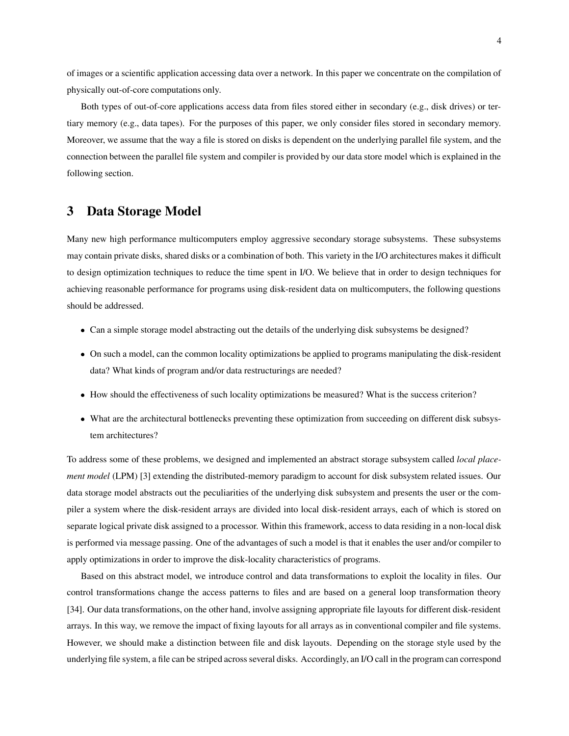of images or a scientific application accessing data over a network. In this paper we concentrate on the compilation of physically out-of-core computations only.

Both types of out-of-core applications access data from files stored either in secondary (e.g., disk drives) or tertiary memory (e.g., data tapes). For the purposes of this paper, we only consider files stored in secondary memory. Moreover, we assume that the way a file is stored on disks is dependent on the underlying parallel file system, and the connection between the parallel file system and compiler is provided by our data store model which is explained in the following section.

## **3 Data Storage Model**

Many new high performance multicomputers employ aggressive secondary storage subsystems. These subsystems may contain private disks, shared disks or a combination of both. This variety in the I/O architectures makes it difficult to design optimization techniques to reduce the time spent in I/O. We believe that in order to design techniques for achieving reasonable performance for programs using disk-resident data on multicomputers, the following questions should be addressed.

- Can a simple storage model abstracting out the details of the underlying disk subsystems be designed?
- On such a model, can the common locality optimizations be applied to programs manipulating the disk-resident data? What kinds of program and/or data restructurings are needed?
- How should the effectiveness of such locality optimizations be measured? What is the success criterion?
- What are the architectural bottlenecks preventing these optimization from succeeding on different disk subsystem architectures?

To address some of these problems, we designed and implemented an abstract storage subsystem called *local placement model* (LPM) [3] extending the distributed-memory paradigm to account for disk subsystem related issues. Our data storage model abstracts out the peculiarities of the underlying disk subsystem and presents the user or the compiler a system where the disk-resident arrays are divided into local disk-resident arrays, each of which is stored on separate logical private disk assigned to a processor. Within this framework, access to data residing in a non-local disk is performed via message passing. One of the advantages of such a model is that it enables the user and/or compiler to apply optimizations in order to improve the disk-locality characteristics of programs.

Based on this abstract model, we introduce control and data transformations to exploit the locality in files. Our control transformations change the access patterns to files and are based on a general loop transformation theory [34]. Our data transformations, on the other hand, involve assigning appropriate file layouts for different disk-resident arrays. In this way, we remove the impact of fixing layouts for all arrays as in conventional compiler and file systems. However, we should make a distinction between file and disk layouts. Depending on the storage style used by the underlying file system, a file can be striped across several disks. Accordingly, an I/O call in the program can correspond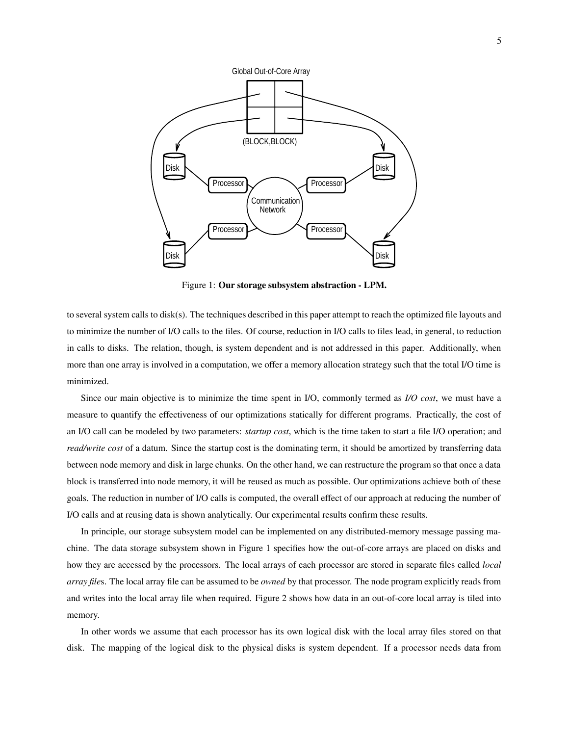

Figure 1: **Our storage subsystem abstraction - LPM.**

to several system calls to disk(s). The techniques described in this paper attempt to reach the optimized file layouts and to minimize the number of I/O calls to the files. Of course, reduction in I/O calls to files lead, in general, to reduction in calls to disks. The relation, though, is system dependent and is not addressed in this paper. Additionally, when more than one array is involved in a computation, we offer a memory allocation strategy such that the total I/O time is minimized.

Since our main objective is to minimize the time spent in I/O, commonly termed as *I/O cost*, we must have a measure to quantify the effectiveness of our optimizations statically for different programs. Practically, the cost of an I/O call can be modeled by two parameters: *startup cost*, which is the time taken to start a file I/O operation; and *read/write cost* of a datum. Since the startup cost is the dominating term, it should be amortized by transferring data between node memory and disk in large chunks. On the other hand, we can restructure the program so that once a data block is transferred into node memory, it will be reused as much as possible. Our optimizations achieve both of these goals. The reduction in number of I/O calls is computed, the overall effect of our approach at reducing the number of I/O calls and at reusing data is shown analytically. Our experimental results confirm these results.

In principle, our storage subsystem model can be implemented on any distributed-memory message passing machine. The data storage subsystem shown in Figure 1 specifies how the out-of-core arrays are placed on disks and how they are accessed by the processors. The local arrays of each processor are stored in separate files called *local array file*s. The local array file can be assumed to be *owned* by that processor. The node program explicitly reads from and writes into the local array file when required. Figure 2 shows how data in an out-of-core local array is tiled into memory.

In other words we assume that each processor has its own logical disk with the local array files stored on that disk. The mapping of the logical disk to the physical disks is system dependent. If a processor needs data from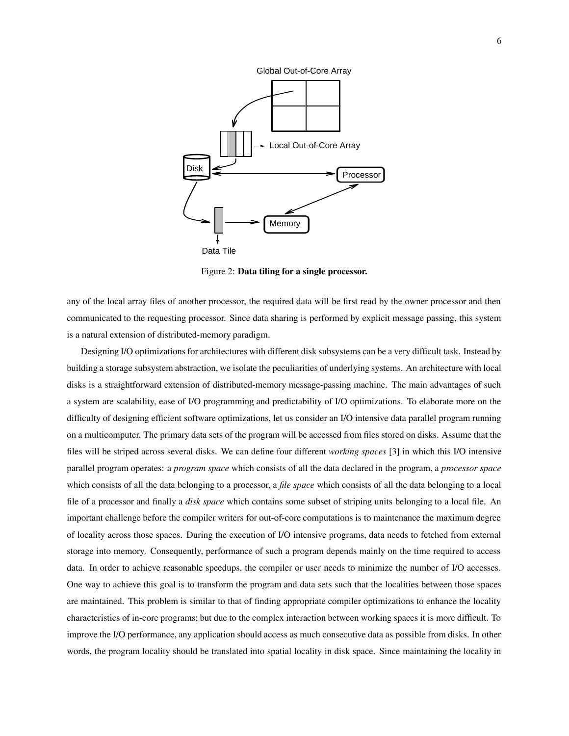

Figure 2: **Data tiling for a single processor.**

any of the local array files of another processor, the required data will be first read by the owner processor and then communicated to the requesting processor. Since data sharing is performed by explicit message passing, this system is a natural extension of distributed-memory paradigm.

Designing I/O optimizations for architectures with different disk subsystems can be a very difficult task. Instead by building a storage subsystem abstraction, we isolate the peculiarities of underlying systems. An architecture with local disks is a straightforward extension of distributed-memory message-passing machine. The main advantages of such a system are scalability, ease of I/O programming and predictability of I/O optimizations. To elaborate more on the difficulty of designing efficient software optimizations, let us consider an I/O intensive data parallel program running on a multicomputer. The primary data sets of the program will be accessed from files stored on disks. Assume that the files will be striped across several disks. We can define four different *working spaces* [3] in which this I/O intensive parallel program operates: a *program space* which consists of all the data declared in the program, a *processor space* which consists of all the data belonging to a processor, a *file space* which consists of all the data belonging to a local file of a processor and finally a *disk space* which contains some subset of striping units belonging to a local file. An important challenge before the compiler writers for out-of-core computations is to maintenance the maximum degree of locality across those spaces. During the execution of I/O intensive programs, data needs to fetched from external storage into memory. Consequently, performance of such a program depends mainly on the time required to access data. In order to achieve reasonable speedups, the compiler or user needs to minimize the number of I/O accesses. One way to achieve this goal is to transform the program and data sets such that the localities between those spaces are maintained. This problem is similar to that of finding appropriate compiler optimizations to enhance the locality characteristics of in-core programs; but due to the complex interaction between working spaces it is more difficult. To improve the I/O performance, any application should access as much consecutive data as possible from disks. In other words, the program locality should be translated into spatial locality in disk space. Since maintaining the locality in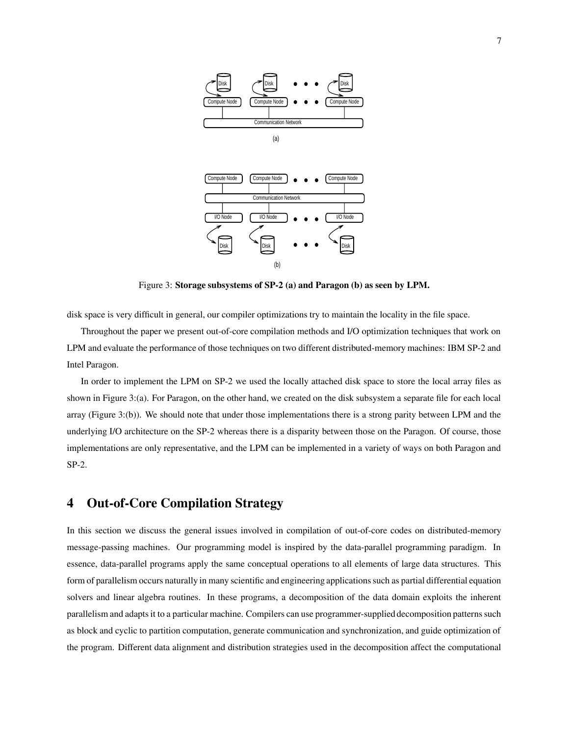

Figure 3: **Storage subsystems of SP-2 (a) and Paragon (b) as seen by LPM.**

disk space is very difficult in general, our compiler optimizations try to maintain the locality in the file space.

Throughout the paper we present out-of-core compilation methods and I/O optimization techniques that work on LPM and evaluate the performance of those techniques on two different distributed-memory machines: IBM SP-2 and Intel Paragon.

In order to implement the LPM on SP-2 we used the locally attached disk space to store the local array files as shown in Figure 3:(a). For Paragon, on the other hand, we created on the disk subsystem a separate file for each local array (Figure 3:(b)). We should note that under those implementations there is a strong parity between LPM and the underlying I/O architecture on the SP-2 whereas there is a disparity between those on the Paragon. Of course, those implementations are only representative, and the LPM can be implemented in a variety of ways on both Paragon and SP-2.

## **4 Out-of-Core Compilation Strategy**

In this section we discuss the general issues involved in compilation of out-of-core codes on distributed-memory message-passing machines. Our programming model is inspired by the data-parallel programming paradigm. In essence, data-parallel programs apply the same conceptual operations to all elements of large data structures. This form of parallelism occurs naturally in many scientific and engineering applications such as partial differential equation solvers and linear algebra routines. In these programs, a decomposition of the data domain exploits the inherent parallelism and adapts it to a particular machine. Compilers can use programmer-supplied decomposition patterns such as block and cyclic to partition computation, generate communication and synchronization, and guide optimization of the program. Different data alignment and distribution strategies used in the decomposition affect the computational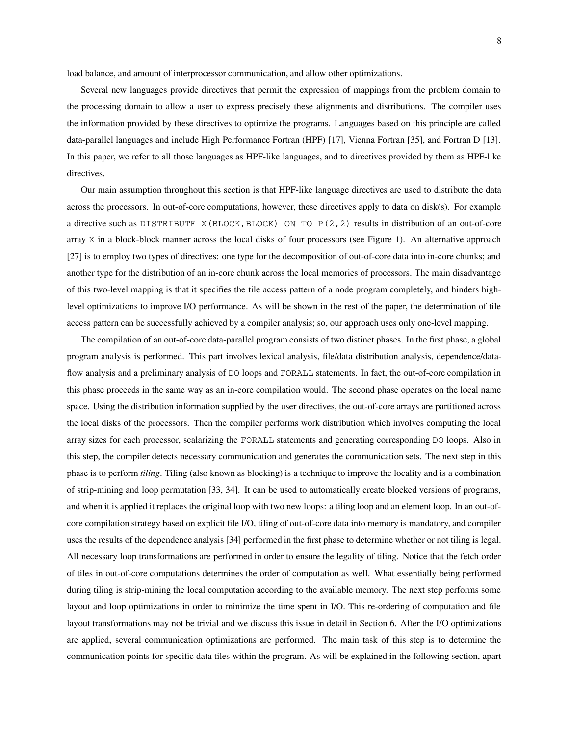load balance, and amount of interprocessor communication, and allow other optimizations.

Several new languages provide directives that permit the expression of mappings from the problem domain to the processing domain to allow a user to express precisely these alignments and distributions. The compiler uses the information provided by these directives to optimize the programs. Languages based on this principle are called data-parallel languages and include High Performance Fortran (HPF) [17], Vienna Fortran [35], and Fortran D [13]. In this paper, we refer to all those languages as HPF-like languages, and to directives provided by them as HPF-like directives.

Our main assumption throughout this section is that HPF-like language directives are used to distribute the data across the processors. In out-of-core computations, however, these directives apply to data on disk(s). For example a directive such as DISTRIBUTE X(BLOCK, BLOCK) ON TO  $P(2, 2)$  results in distribution of an out-of-core array X in a block-block manner across the local disks of four processors (see Figure 1). An alternative approach [27] is to employ two types of directives: one type for the decomposition of out-of-core data into in-core chunks; and another type for the distribution of an in-core chunk across the local memories of processors. The main disadvantage of this two-level mapping is that it specifies the tile access pattern of a node program completely, and hinders highlevel optimizations to improve I/O performance. As will be shown in the rest of the paper, the determination of tile access pattern can be successfully achieved by a compiler analysis; so, our approach uses only one-level mapping.

The compilation of an out-of-core data-parallel program consists of two distinct phases. In the first phase, a global program analysis is performed. This part involves lexical analysis, file/data distribution analysis, dependence/dataflow analysis and a preliminary analysis of DO loops and FORALL statements. In fact, the out-of-core compilation in this phase proceeds in the same way as an in-core compilation would. The second phase operates on the local name space. Using the distribution information supplied by the user directives, the out-of-core arrays are partitioned across the local disks of the processors. Then the compiler performs work distribution which involves computing the local array sizes for each processor, scalarizing the FORALL statements and generating corresponding DO loops. Also in this step, the compiler detects necessary communication and generates the communication sets. The next step in this phase is to perform *tiling*. Tiling (also known as blocking) is a technique to improve the locality and is a combination of strip-mining and loop permutation [33, 34]. It can be used to automatically create blocked versions of programs, and when it is applied it replaces the original loop with two new loops: a tiling loop and an element loop. In an out-ofcore compilation strategy based on explicit file I/O, tiling of out-of-core data into memory is mandatory, and compiler uses the results of the dependence analysis [34] performed in the first phase to determine whether or not tiling is legal. All necessary loop transformations are performed in order to ensure the legality of tiling. Notice that the fetch order of tiles in out-of-core computations determines the order of computation as well. What essentially being performed during tiling is strip-mining the local computation according to the available memory. The next step performs some layout and loop optimizations in order to minimize the time spent in I/O. This re-ordering of computation and file layout transformations may not be trivial and we discuss this issue in detail in Section 6. After the I/O optimizations are applied, several communication optimizations are performed. The main task of this step is to determine the communication points for specific data tiles within the program. As will be explained in the following section, apart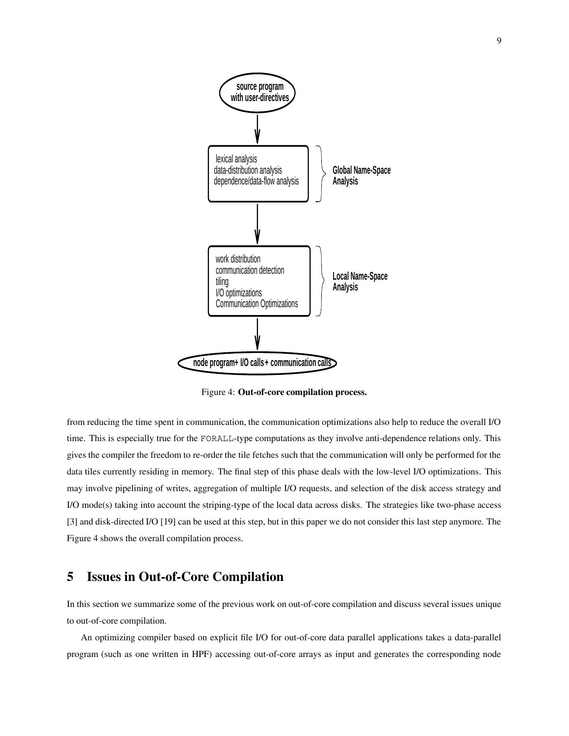

Figure 4: **Out-of-core compilation process.**

from reducing the time spent in communication, the communication optimizations also help to reduce the overall I/O time. This is especially true for the FORALL-type computations as they involve anti-dependence relations only. This gives the compiler the freedom to re-order the tile fetches such that the communication will only be performed for the data tiles currently residing in memory. The final step of this phase deals with the low-level I/O optimizations. This may involve pipelining of writes, aggregation of multiple I/O requests, and selection of the disk access strategy and I/O mode(s) taking into account the striping-type of the local data across disks. The strategies like two-phase access [3] and disk-directed I/O [19] can be used at this step, but in this paper we do not consider this last step anymore. The Figure 4 shows the overall compilation process.

### **5 Issues in Out-of-Core Compilation**

In this section we summarize some of the previous work on out-of-core compilation and discuss several issues unique to out-of-core compilation.

An optimizing compiler based on explicit file I/O for out-of-core data parallel applications takes a data-parallel program (such as one written in HPF) accessing out-of-core arrays as input and generates the corresponding node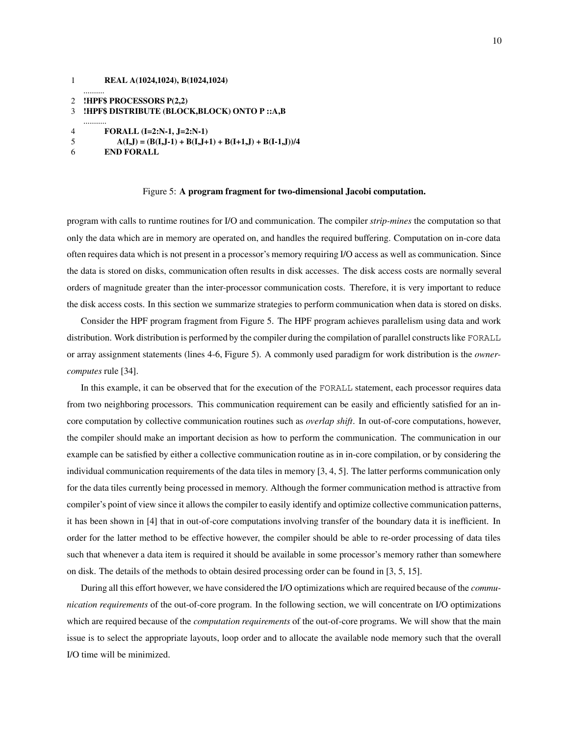```
1 REAL A(1024,1024), B(1024,1024)
2 !HPF$ PROCESSORS P(2,2)
3 !HPF$ DISTRIBUTE (BLOCK,BLOCK) ONTO P ::A,B
   ...........
4 FORALL (I=2:N-1, J=2:N-1)
5 A(I,J) = (B(I,J-1) + B(I,J+1) + B(I+1,J) + B(I-1,J))/46 END FORALL
```
#### Figure 5: **A program fragment for two-dimensional Jacobi computation.**

program with calls to runtime routines for I/O and communication. The compiler *strip-mines* the computation so that only the data which are in memory are operated on, and handles the required buffering. Computation on in-core data often requires data which is not present in a processor's memory requiring I/O access as well as communication. Since the data is stored on disks, communication often results in disk accesses. The disk access costs are normally several orders of magnitude greater than the inter-processor communication costs. Therefore, it is very important to reduce the disk access costs. In this section we summarize strategies to perform communication when data is stored on disks.

Consider the HPF program fragment from Figure 5. The HPF program achieves parallelism using data and work distribution. Work distribution is performed by the compiler during the compilation of parallel constructs like FORALL or array assignment statements (lines 4-6, Figure 5). A commonly used paradigm for work distribution is the *ownercomputes* rule [34].

In this example, it can be observed that for the execution of the FORALL statement, each processor requires data from two neighboring processors. This communication requirement can be easily and efficiently satisfied for an incore computation by collective communication routines such as *overlap shift*. In out-of-core computations, however, the compiler should make an important decision as how to perform the communication. The communication in our example can be satisfied by either a collective communication routine as in in-core compilation, or by considering the individual communication requirements of the data tiles in memory [3, 4, 5]. The latter performs communication only for the data tiles currently being processed in memory. Although the former communication method is attractive from compiler's point of view since it allows the compiler to easily identify and optimize collective communication patterns, it has been shown in [4] that in out-of-core computations involving transfer of the boundary data it is inefficient. In order for the latter method to be effective however, the compiler should be able to re-order processing of data tiles such that whenever a data item is required it should be available in some processor's memory rather than somewhere on disk. The details of the methods to obtain desired processing order can be found in [3, 5, 15].

During all this effort however, we have considered the I/O optimizations which are required because of the *communication requirements* of the out-of-core program. In the following section, we will concentrate on I/O optimizations which are required because of the *computation requirements* of the out-of-core programs. We will show that the main issue is to select the appropriate layouts, loop order and to allocate the available node memory such that the overall I/O time will be minimized.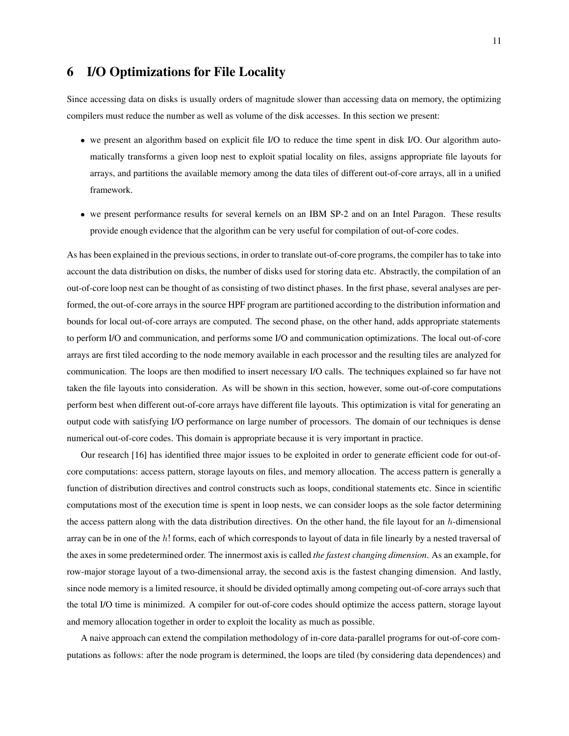## **6 I/O Optimizations for File Locality**

Since accessing data on disks is usually orders of magnitude slower than accessing data on memory, the optimizing compilers must reduce the number as well as volume of the disk accesses. In this section we present:

- we present an algorithm based on explicit file I/O to reduce the time spent in disk I/O. Our algorithm automatically transforms a given loop nest to exploit spatial locality on files, assigns appropriate file layouts for arrays, and partitions the available memory among the data tiles of different out-of-core arrays, all in a unified framework.
- we present performance results for several kernels on an IBM SP-2 and on an Intel Paragon. These results provide enough evidence that the algorithm can be very useful for compilation of out-of-core codes.

As has been explained in the previous sections, in order to translate out-of-core programs, the compiler has to take into account the data distribution on disks, the number of disks used for storing data etc. Abstractly, the compilation of an out-of-core loop nest can be thought of as consisting of two distinct phases. In the first phase, several analyses are performed, the out-of-core arrays in the source HPF program are partitioned according to the distribution information and bounds for local out-of-core arrays are computed. The second phase, on the other hand, adds appropriate statements to perform I/O and communication, and performs some I/O and communication optimizations. The local out-of-core arrays are first tiled according to the node memory available in each processor and the resulting tiles are analyzed for communication. The loops are then modified to insert necessary I/O calls. The techniques explained so far have not taken the file layouts into consideration. As will be shown in this section, however, some out-of-core computations perform best when different out-of-core arrays have different file layouts. This optimization is vital for generating an output code with satisfying I/O performance on large number of processors. The domain of our techniques is dense numerical out-of-core codes. This domain is appropriate because it is very important in practice.

Our research [16] has identified three major issues to be exploited in order to generate efficient code for out-ofcore computations: access pattern, storage layouts on files, and memory allocation. The access pattern is generally a function of distribution directives and control constructs such as loops, conditional statements etc. Since in scientific computations most of the execution time is spent in loop nests, we can consider loops as the sole factor determining the access pattern along with the data distribution directives. On the other hand, the file layout for an  $h$ -dimensional array can be in one of the  $h$ ! forms, each of which corresponds to layout of data in file linearly by a nested traversal of the axes in some predetermined order. The innermost axis is called *the fastest changing dimension*. As an example, for row-major storage layout of a two-dimensional array, the second axis is the fastest changing dimension. And lastly, since node memory is a limited resource, it should be divided optimally among competing out-of-core arrays such that the total I/O time is minimized. A compiler for out-of-core codes should optimize the access pattern, storage layout and memory allocation together in order to exploit the locality as much as possible.

A naive approach can extend the compilation methodology of in-core data-parallel programs for out-of-core computations as follows: after the node program is determined, the loops are tiled (by considering data dependences) and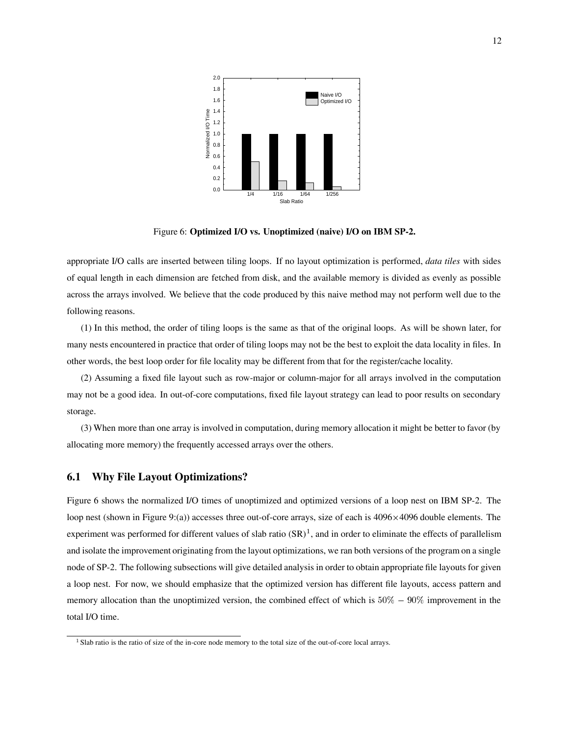

Figure 6: **Optimized I/O vs. Unoptimized (naive) I/O on IBM SP-2.**

appropriate I/O calls are inserted between tiling loops. If no layout optimization is performed, *data tiles* with sides of equal length in each dimension are fetched from disk, and the available memory is divided as evenly as possible across the arrays involved. We believe that the code produced by this naive method may not perform well due to the following reasons.

(1) In this method, the order of tiling loops is the same as that of the original loops. As will be shown later, for many nests encountered in practice that order of tiling loops may not be the best to exploit the data locality in files. In other words, the best loop order for file locality may be different from that for the register/cache locality.

(2) Assuming a fixed file layout such as row-major or column-major for all arrays involved in the computation may not be a good idea. In out-of-core computations, fixed file layout strategy can lead to poor results on secondary storage.

(3) When more than one array is involved in computation, during memory allocation it might be better to favor (by allocating more memory) the frequently accessed arrays over the others.

#### **6.1 Why File Layout Optimizations?**

Figure 6 shows the normalized I/O times of unoptimized and optimized versions of a loop nest on IBM SP-2. The loop nest (shown in Figure 9:(a)) accesses three out-of-core arrays, size of each is  $4096 \times 4096$  double elements. The experiment was performed for different values of slab ratio  $(SR)^1$ , and in order to eliminate the effects of parallelism and isolate the improvement originating from the layout optimizations, we ran both versions of the program on a single node of SP-2. The following subsections will give detailed analysis in order to obtain appropriate file layouts for given a loop nest. For now, we should emphasize that the optimized version has different file layouts, access pattern and memory allocation than the unoptimized version, the combined effect of which is  $50\% - 90\%$  improvement in the total I/O time.

<sup>&</sup>lt;sup>1</sup> Slab ratio is the ratio of size of the in-core node memory to the total size of the out-of-core local arrays.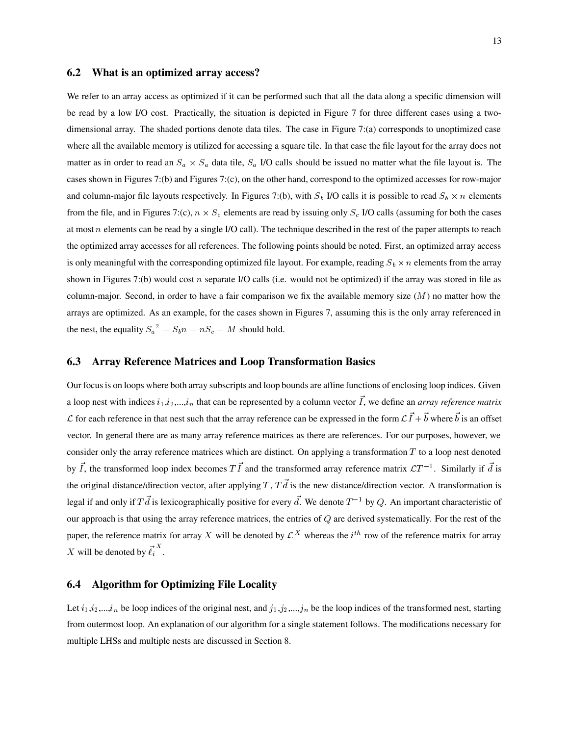#### **6.2 What is an optimized array access?**

We refer to an array access as optimized if it can be performed such that all the data along a specific dimension will be read by a low I/O cost. Practically, the situation is depicted in Figure 7 for three different cases using a twodimensional array. The shaded portions denote data tiles. The case in Figure 7:(a) corresponds to unoptimized case where all the available memory is utilized for accessing a square tile. In that case the file layout for the array does not matter as in order to read an  $S_a \times S_a$  data tile,  $S_a$  I/O calls should be issued no matter what the file layout is. The cases shown in Figures 7:(b) and Figures 7:(c), on the other hand, correspond to the optimized accesses for row-major and column-major file layouts respectively. In Figures 7:(b), with  $S_b$  I/O calls it is possible to read  $S_b \times n$  elements from the file, and in Figures 7:(c),  $n \times S_c$  elements are read by issuing only  $S_c$  I/O calls (assuming for both the cases at most  $n$  elements can be read by a single I/O call). The technique described in the rest of the paper attempts to reach the optimized array accesses for all references. The following points should be noted. First, an optimized array access is only meaningful with the corresponding optimized file layout. For example, reading  $S_b \times n$  elements from the array shown in Figures 7:(b) would cost <sup>n</sup> separate I/O calls (i.e. would not be optimized) if the array was stored in file as column-major. Second, in order to have a fair comparison we fix the available memory size  $(M)$  no matter how the arrays are optimized. As an example, for the cases shown in Figures 7, assuming this is the only array referenced in the nest, the equality  $S_a^2 = S_b n = nS_c = M$  should hold.

#### **6.3 Array Reference Matrices and Loop Transformation Basics**

Our focus is on loops where both array subscripts and loop bounds are affine functions of enclosing loop indices. Given a loop nest with indices  $i_1, i_2, ..., i_n$  that can be represented by a column vector I, we define an *array reference matrix* L for each reference in that nest such that the array reference can be expressed in the form  $LI + b$  where b is an offset vector. In general there are as many array reference matrices as there are references. For our purposes, however, we consider only the array reference matrices which are distinct. On applying a transformation  $T$  to a loop nest denoted by I, the transformed loop index becomes T I and the transformed array reference matrix  $\mathcal{L}T^{-1}$ . Similarly if d is the original distance/direction vector, after applying  $T$ ,  $T\vec{d}$  is the new distance/direction vector. A transformation is legal if and only if Td is lexicographically positive for every d. We denote  $T^{-1}$  by Q. An important characteristic of our approach is that using the array reference matrices, the entries of  $Q$  are derived systematically. For the rest of the paper, the reference matrix for array X will be denoted by  $\mathcal{L}^X$  whereas the  $i^{th}$  row of the reference matrix for array X will be denoted by  $\ell_i$ .

### **6.4 Algorithm for Optimizing File Locality**

Let  $i_1, i_2,...,i_n$  be loop indices of the original nest, and  $j_1, j_2,...,j_n$  be the loop indices of the transformed nest, starting from outermost loop. An explanation of our algorithm for a single statement follows. The modifications necessary for multiple LHSs and multiple nests are discussed in Section 8.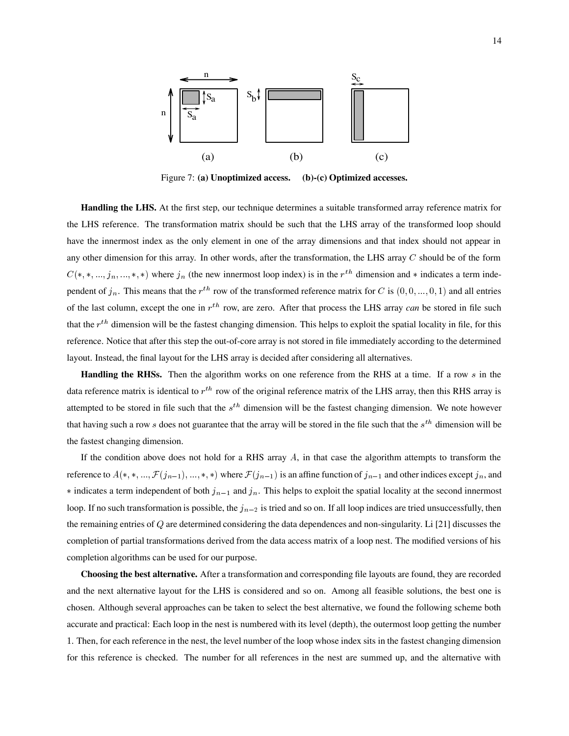

Figure 7: **(a) Unoptimized access. (b)-(c) Optimized accesses.**

**Handling the LHS.** At the first step, our technique determines a suitable transformed array reference matrix for the LHS reference. The transformation matrix should be such that the LHS array of the transformed loop should have the innermost index as the only element in one of the array dimensions and that index should not appear in any other dimension for this array. In other words, after the transformation, the LHS array  $C$  should be of the form  $C(*,*,...,j_n,...,*,*)$  where  $j_n$  (the new innermost loop index) is in the  $r^{th}$  dimension and  $*$  indicates a term independent of  $j_n$ . This means that the  $r^{th}$  row of the transformed reference matrix for C is  $(0,0,...,0,1)$  and all entries of the last column, except the one in  $r^{th}$  row, are zero. After that process the LHS array *can* be stored in file such that the  $r^{th}$  dimension will be the fastest changing dimension. This helps to exploit the spatial locality in file, for this reference. Notice that after this step the out-of-core array is not stored in file immediately according to the determined layout. Instead, the final layout for the LHS array is decided after considering all alternatives.

**Handling the RHSs.** Then the algorithm works on one reference from the RHS at a time. If a row s in the data reference matrix is identical to  $r^{th}$  row of the original reference matrix of the LHS array, then this RHS array is attempted to be stored in file such that the  $s<sup>th</sup>$  dimension will be the fastest changing dimension. We note however that having such a row s does not guarantee that the array will be stored in the file such that the  $s<sup>th</sup>$  dimension will be the fastest changing dimension.

If the condition above does not hold for a RHS array  $A$ , in that case the algorithm attempts to transform the reference to  $A(*,*,..., \mathcal{F}(j_{n-1}),...,*,*)$  where  $\mathcal{F}(j_{n-1})$  is an affine function of  $j_{n-1}$  and other indices except  $j_n$ , and  $*$  indicates a term independent of both  $j_{n-1}$  and  $j_n$ . This helps to exploit the spatial locality at the second innermost loop. If no such transformation is possible, the  $j_{n-2}$  is tried and so on. If all loop indices are tried unsuccessfully, then the remaining entries of Q are determined considering the data dependences and non-singularity. Li [21] discusses the completion of partial transformations derived from the data access matrix of a loop nest. The modified versions of his completion algorithms can be used for our purpose.

**Choosing the best alternative.** After a transformation and corresponding file layouts are found, they are recorded and the next alternative layout for the LHS is considered and so on. Among all feasible solutions, the best one is chosen. Although several approaches can be taken to select the best alternative, we found the following scheme both accurate and practical: Each loop in the nest is numbered with its level (depth), the outermost loop getting the number . Then, for each reference in the nest, the level number of the loop whose index sits in the fastest changing dimension for this reference is checked. The number for all references in the nest are summed up, and the alternative with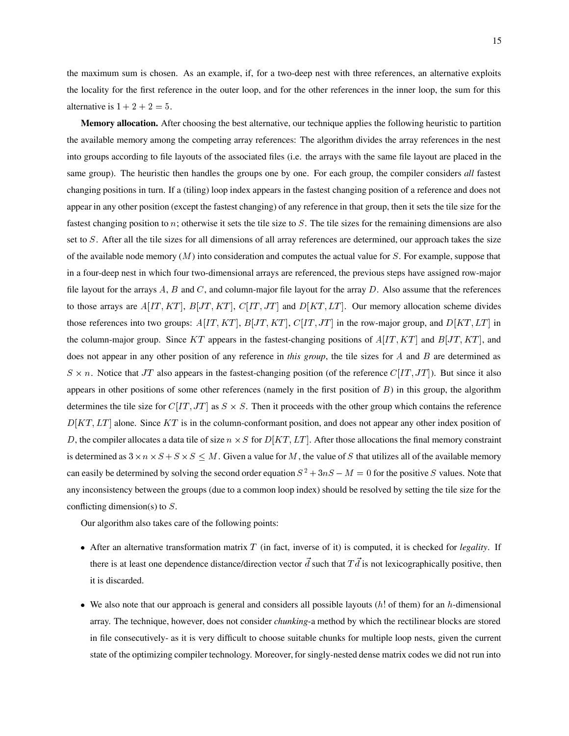the maximum sum is chosen. As an example, if, for a two-deep nest with three references, an alternative exploits the locality for the first reference in the outer loop, and for the other references in the inner loop, the sum for this alternative is  $1 + 2 + 2 = 5$ .

**Memory allocation.** After choosing the best alternative, our technique applies the following heuristic to partition the available memory among the competing array references: The algorithm divides the array references in the nest into groups according to file layouts of the associated files (i.e. the arrays with the same file layout are placed in the same group). The heuristic then handles the groups one by one. For each group, the compiler considers *all* fastest changing positions in turn. If a (tiling) loop index appears in the fastest changing position of a reference and does not appear in any other position (except the fastest changing) of any reference in that group, then it sets the tile size for the fastest changing position to n; otherwise it sets the tile size to S. The tile sizes for the remaining dimensions are also set to S. After all the tile sizes for all dimensions of all array references are determined, our approach takes the size of the available node memory  $(M)$  into consideration and computes the actual value for  $S$ . For example, suppose that in a four-deep nest in which four two-dimensional arrays are referenced, the previous steps have assigned row-major file layout for the arrays  $A$ ,  $B$  and  $C$ , and column-major file layout for the array  $D$ . Also assume that the references to those arrays are  $A[IT, KT], B[JT, KT], C[IT, JT]$  and  $D[KT, LT]$ . Our memory allocation scheme divides those references into two groups:  $A[IT, KT], B[JT, KT], C[IT, JT]$  in the row-major group, and  $D[KT, LT]$  in the column-major group. Since KT appears in the fastest-changing positions of  $A[IT, KT]$  and  $B[JT, KT]$ , and does not appear in any other position of any reference in *this group*, the tile sizes for A and B are determined as  $S \times n$ . Notice that JT also appears in the fastest-changing position (of the reference  $C[IT, JT]$ ). But since it also appears in other positions of some other references (namely in the first position of  $B$ ) in this group, the algorithm determines the tile size for  $C[IT, JT]$  as  $S \times S$ . Then it proceeds with the other group which contains the reference  $D[KT,LT]$  alone. Since KT is in the column-conformant position, and does not appear any other index position of D, the compiler allocates a data tile of size  $n \times S$  for  $D[KT, LT]$ . After those allocations the final memory constraint is determined as  $3 \times n \times S + S \times S \times M$ . Given a value for M, the value of S that utilizes all of the available memory can easily be determined by solving the second order equation  $S^2 + 3nS - M = 0$  for the positive S values. Note that any inconsistency between the groups (due to a common loop index) should be resolved by setting the tile size for the conflicting dimension(s) to S.

Our algorithm also takes care of the following points:

- After an alternative transformation matrix T (in fact, inverse of it) is computed, it is checked for *legality*. If there is at least one dependence distance/direction vector  $\vec{d}$  such that  $T\vec{d}$  is not lexicographically positive, then it is discarded.
- $\bullet$  We also note that our approach is general and considers all possible layouts (h! of them) for an h-dimensional array. The technique, however, does not consider *chunking*-a method by which the rectilinear blocks are stored in file consecutively- as it is very difficult to choose suitable chunks for multiple loop nests, given the current state of the optimizing compiler technology. Moreover, for singly-nested dense matrix codes we did not run into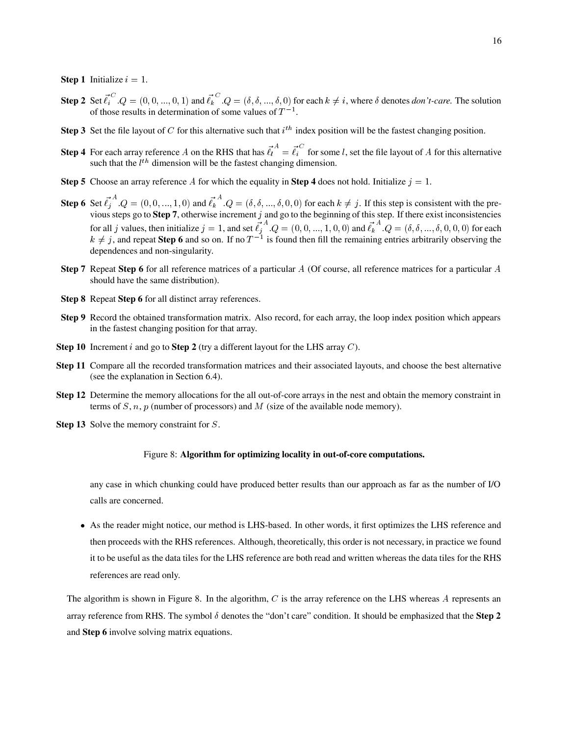**Step 1** Initialize  $i = 1$ .

- **Step 2** Set  $\ell_i^Q$ ,  $Q = (0, 0, ..., 0, 1)$  and  $\ell_k^Q$ ,  $Q = (\delta, \delta, ..., \delta, 0)$  for each  $k \neq i$ , where  $\delta$  denotes *don't-care*. The solution of those results in determination of some values of  $T^{-1}$ .
- **Step 3** Set the file layout of C for this alternative such that  $i^{th}$  index position will be the fastest changing position.
- **Step 4** For each array reference A on the RHS that has  $\ell_i^{\{i\}} = \ell_i^{\{i\}}$  for some l, set the file layout of A for this alternative such that the  $l^{th}$  dimension will be the fastest changing dimension.
- **Step 5** Choose an array reference A for which the equality in **Step 4** does not hold. Initialize  $j = 1$ .
- **Step 6** Set  $\ell_i^{\{i\}}$   $Q = (0, 0, ..., 1, 0)$  and  $\ell_i^{\{i\}}$   $Q = (\delta, \delta, ..., \delta, 0, 0)$  for each  $k \neq j$ . If this step is consistent with the previous steps go to **Step 7**, otherwise increment j and go to the beginning of this step. If there exist inconsistencies for all j values, then initialize  $j = 1$ , and set  $\ell_j^*$ ,  $Q = (0, 0, ..., 1, 0, 0)$  and  $\ell_k^*$ ,  $Q = (\delta, \delta, ..., \delta, 0, 0, 0)$  for each  $k \neq j$ , and repeat **Step 6** and so on. If no  $T^{-1}$  is found then fill the remaining entries arbitrarily observing the dependences and non-singularity.
- **Step 7** Repeat **Step 6** for all reference matrices of a particular A (Of course, all reference matrices for a particular A should have the same distribution).
- **Step 8** Repeat **Step 6** for all distinct array references.
- **Step 9** Record the obtained transformation matrix. Also record, for each array, the loop index position which appears in the fastest changing position for that array.
- **Step 10** Increment *i* and go to **Step 2** (try a different layout for the LHS array C).
- **Step 11** Compare all the recorded transformation matrices and their associated layouts, and choose the best alternative (see the explanation in Section 6.4).
- **Step 12** Determine the memory allocations for the all out-of-core arrays in the nest and obtain the memory constraint in terms of S, n, p (number of processors) and M (size of the available node memory).
- **Step 13** Solve the memory constraint for S.

#### Figure 8: **Algorithm for optimizing locality in out-of-core computations.**

any case in which chunking could have produced better results than our approach as far as the number of I/O calls are concerned.

 As the reader might notice, our method is LHS-based. In other words, it first optimizes the LHS reference and then proceeds with the RHS references. Although, theoretically, this order is not necessary, in practice we found it to be useful as the data tiles for the LHS reference are both read and written whereas the data tiles for the RHS references are read only.

The algorithm is shown in Figure 8. In the algorithm,  $C$  is the array reference on the LHS whereas  $A$  represents an array reference from RHS. The symbol  $\delta$  denotes the "don't care" condition. It should be emphasized that the **Step 2** and **Step 6** involve solving matrix equations.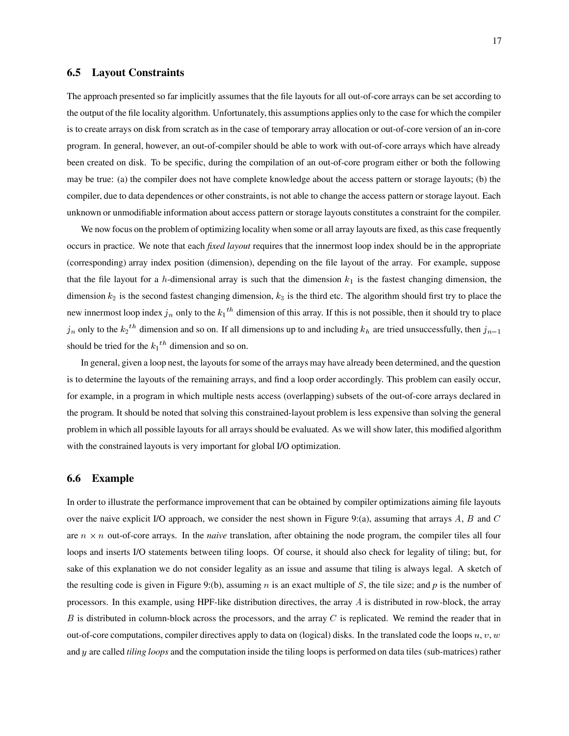#### **6.5 Layout Constraints**

The approach presented so far implicitly assumes that the file layouts for all out-of-core arrays can be set according to the output of the file locality algorithm. Unfortunately, this assumptions applies only to the case for which the compiler is to create arrays on disk from scratch as in the case of temporary array allocation or out-of-core version of an in-core program. In general, however, an out-of-compiler should be able to work with out-of-core arrays which have already been created on disk. To be specific, during the compilation of an out-of-core program either or both the following may be true: (a) the compiler does not have complete knowledge about the access pattern or storage layouts; (b) the compiler, due to data dependences or other constraints, is not able to change the access pattern or storage layout. Each unknown or unmodifiable information about access pattern or storage layouts constitutes a constraint for the compiler.

We now focus on the problem of optimizing locality when some or all array layouts are fixed, as this case frequently occurs in practice. We note that each *fixed layout* requires that the innermost loop index should be in the appropriate (corresponding) array index position (dimension), depending on the file layout of the array. For example, suppose that the file layout for a h-dimensional array is such that the dimension  $k_1$  is the fastest changing dimension, the dimension  $k_2$  is the second fastest changing dimension,  $k_3$  is the third etc. The algorithm should first try to place the new innermost loop index  $j_n$  only to the  $k_1$ <sup>th</sup> dimension of this array. If this is not possible, then it should try to place  $j_n$  only to the  $k_2$ <sup>th</sup> dimension and so on. If all dimensions up to and including  $k_h$  are tried unsuccessfully, then  $j_{n-1}$ should be tried for the  $k_1$ <sup>th</sup> dimension and so on.

In general, given a loop nest, the layouts for some of the arrays may have already been determined, and the question is to determine the layouts of the remaining arrays, and find a loop order accordingly. This problem can easily occur, for example, in a program in which multiple nests access (overlapping) subsets of the out-of-core arrays declared in the program. It should be noted that solving this constrained-layout problem is less expensive than solving the general problem in which all possible layouts for all arrays should be evaluated. As we will show later, this modified algorithm with the constrained layouts is very important for global I/O optimization.

#### **6.6 Example**

In order to illustrate the performance improvement that can be obtained by compiler optimizations aiming file layouts over the naive explicit I/O approach, we consider the nest shown in Figure 9:(a), assuming that arrays  $A, B$  and  $C$ are  $n \times n$  out-of-core arrays. In the *naive* translation, after obtaining the node program, the compiler tiles all four loops and inserts I/O statements between tiling loops. Of course, it should also check for legality of tiling; but, for sake of this explanation we do not consider legality as an issue and assume that tiling is always legal. A sketch of the resulting code is given in Figure 9:(b), assuming  $n$  is an exact multiple of  $S$ , the tile size; and  $p$  is the number of processors. In this example, using HPF-like distribution directives, the array A is distributed in row-block, the array  $B$  is distributed in column-block across the processors, and the array  $C$  is replicated. We remind the reader that in out-of-core computations, compiler directives apply to data on (logical) disks. In the translated code the loops  $u, v, w$ and y are called*tiling loops* and the computation inside the tiling loops is performed on data tiles (sub-matrices) rather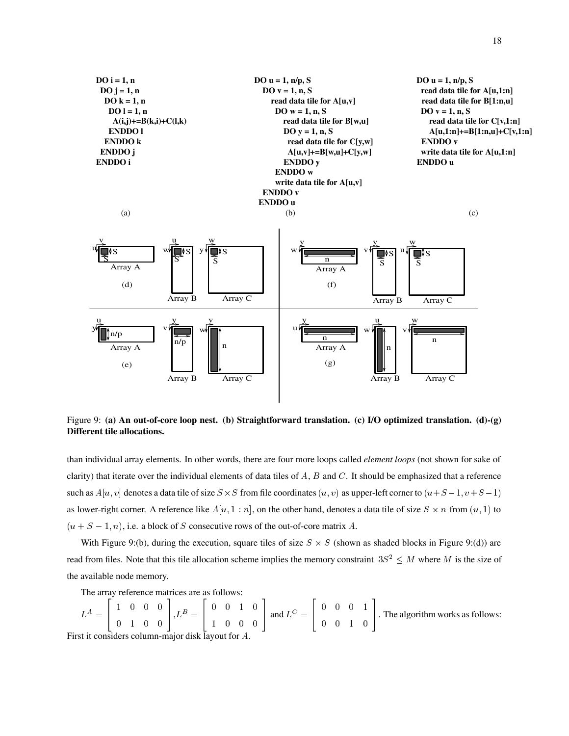

Figure 9: **(a) An out-of-core loop nest. (b) Straightforward translation. (c) I/O optimized translation. (d)-(g) Different tile allocations.**

than individual array elements. In other words, there are four more loops called *element loops* (not shown for sake of clarity) that iterate over the individual elements of data tiles of  $A$ ,  $B$  and  $C$ . It should be emphasized that a reference such as  $A[u, v]$  denotes a data tile of size  $S \times S$  from file coordinates  $(u, v)$  as upper-left corner to  $(u+S-1, v+S-1)$ as lower-right corner. A reference like  $A[u, 1:n]$ , on the other hand, denotes a data tile of size  $S \times n$  from  $(u, 1)$  to  $(u + S - 1, n)$ , i.e. a block of S consecutive rows of the out-of-core matrix A.

With Figure 9:(b), during the execution, square tiles of size  $S \times S$  (shown as shaded blocks in Figure 9:(d)) are read from files. Note that this tile allocation scheme implies the memory constraint  $3S^2 \leq M$  where M is the size of the available node memory.

The array reference matrices are as follows:

 $L = 1$   $\begin{array}{ccc} \hline \end{array}$   $\begin{array}{ccc} \hline \end{array}$   $\begin{array}{ccc} \hline \end{array}$   $\begin{array}{ccc} \hline \end{array}$   $\begin{array}{ccc} \hline \end{array}$   $\begin{array}{ccc} \hline \end{array}$   $\begin{array}{ccc} \hline \end{array}$   $\begin{array}{ccc} \hline \end{array}$   $\begin{array}{ccc} \hline \end{array}$   $\begin{array}{ccc} \hline \end{array}$   $\begin{array}{ccc} \hline \end{array}$   $\begin{array}{ccc} \hline \end{array}$   $\begin{array$ - - - -  $\left| \int_{\mathcal{L}} B = \right|$   $\Box$   $\Box$   $\Box$   $\Box$   $\Box$  - - - - | and  $L^C =$ | the contract of the contract of the contract of the contract of the contract of the contract of the contract of  $\begin{array}{ccc} \Box \end{array}$  Thes - - - - . The algorithm works as follows: First it considers column-major disk layout for A.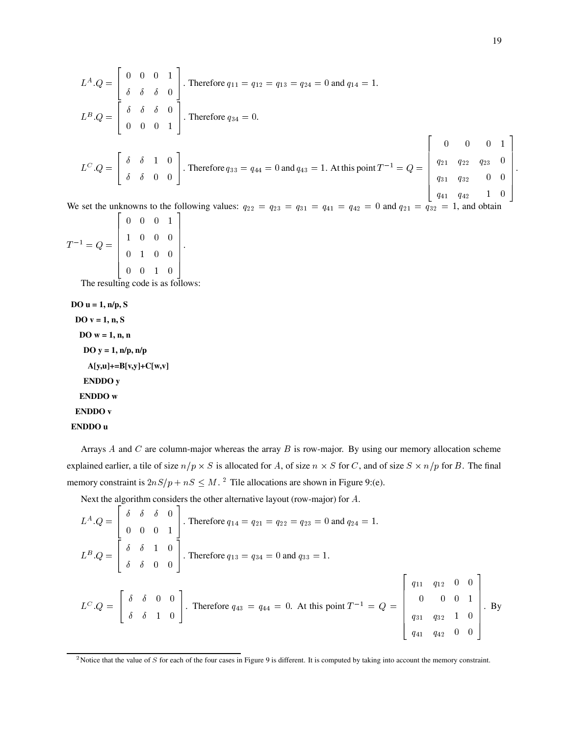$$
L^{A}.Q = \begin{bmatrix} 0 & 0 & 0 & 1 \\ \delta & \delta & \delta & 0 \\ 0 & 0 & 0 & 1 \end{bmatrix}.
$$
 Therefore  $q_{11} = q_{12} = q_{13} = q_{24} = 0$  and  $q_{14} = 1$ .  
\n
$$
L^{B}.Q = \begin{bmatrix} \delta & \delta & \delta & 0 \\ \delta & \delta & \delta & 0 \\ 0 & 0 & 0 & 1 \end{bmatrix}.
$$
 Therefore  $q_{34} = 0$ .  
\n
$$
L^{C}.Q = \begin{bmatrix} \delta & \delta & 1 & 0 \\ \delta & \delta & 0 & 0 \\ \delta & \delta & 0 & 0 \end{bmatrix}.
$$
 Therefore  $q_{33} = q_{44} = 0$  and  $q_{43} = 1$ . At this point  $T^{-1} = Q = \begin{bmatrix} 0 & 0 & 0 & 1 \\ q_{21} & q_{22} & q_{23} & 0 \\ q_{31} & q_{32} & 0 & 0 \\ q_{41} & q_{42} & 1 & 0 \end{bmatrix}.$ 

We set the unknowns to the following values:  $q_{22} = q_{23} = q_{31} = q_{41} = q_{42} = 0$  and  $q_{21} = q_{32} = 1$ , and obtain

|                | $0 \t 0 \t 0 \t 1$                                                 |  |  |
|----------------|--------------------------------------------------------------------|--|--|
| $T^{-1} = Q =$ | $\begin{array}{cccccc} 1 & 0 & 0 & 0 \\ 0 & 1 & 0 & 0 \end{array}$ |  |  |
|                |                                                                    |  |  |
|                |                                                                    |  |  |

The resulting code is as follows:

```
DO u = 1, n/p, S
 DO v = 1, n, S
 DO w = 1, n, n
  DO y = 1, n/p, n/p
   A[y,u]+=B[v,y]+C[w,v]
  ENDDO y
  ENDDO w
 ENDDO v
ENDDO u
```
Arrays  $A$  and  $C$  are column-major whereas the array  $B$  is row-major. By using our memory allocation scheme explained earlier, a tile of size  $n/p \times S$  is allocated for A, of size  $n \times S$  for C, and of size  $S \times n/p$  for B. The final memory constraint is  $2nS/p + nS \leq M$ . <sup>2</sup> Tile allocations are shown in Figure 9:(e).

Next the algorithm considers the other alternative layout (row-major) for  $A$ .

$$
L^{A}.Q = \begin{bmatrix} \delta & \delta & \delta & 0 \\ 0 & 0 & 0 & 1 \\ \delta & \delta & 1 & 0 \\ \delta & \delta & 0 & 0 \end{bmatrix}.
$$
 Therefore  $q_{14} = q_{21} = q_{22} = q_{23} = 0$  and  $q_{24} = 1$ .  
\n
$$
L^{B}.Q = \begin{bmatrix} \delta & \delta & 1 & 0 \\ \delta & \delta & 0 & 0 \\ \delta & \delta & 1 & 0 \end{bmatrix}.
$$
 Therefore  $q_{13} = q_{34} = 0$  and  $q_{33} = 1$ .  
\n
$$
L^{C}.Q = \begin{bmatrix} \delta & \delta & 0 & 0 \\ \delta & \delta & 1 & 0 \\ \delta & \delta & 1 & 0 \end{bmatrix}.
$$
 Therefore  $q_{43} = q_{44} = 0$ . At this point  $T^{-1} = Q = \begin{bmatrix} q_{11} & q_{12} & 0 & 0 \\ 0 & 0 & 0 & 1 \\ q_{31} & q_{32} & 1 & 0 \\ q_{41} & q_{42} & 0 & 0 \end{bmatrix}.$ 

<sup>&</sup>lt;sup>2</sup> Notice that the value of S for each of the four cases in Figure 9 is different. It is computed by taking into account the memory constraint.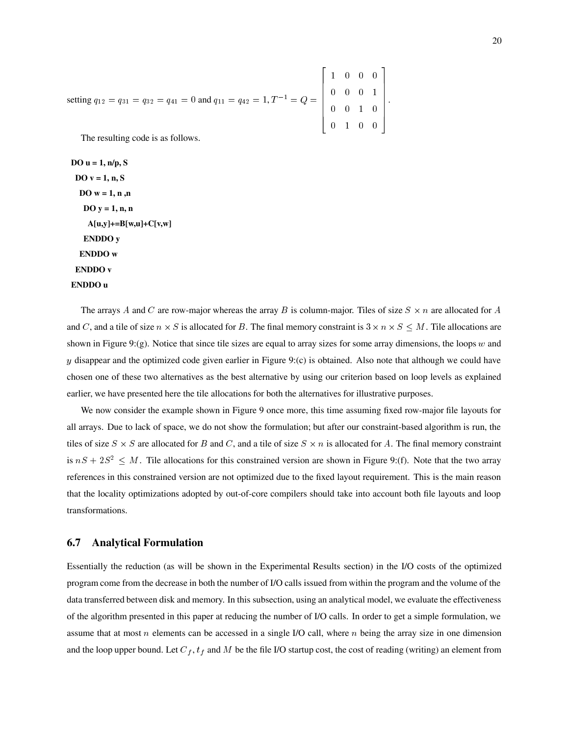setting 
$$
q_{12} = q_{31} = q_{32} = q_{41} = 0
$$
 and  $q_{11} = q_{42} = 1$ ,  $T^{-1} = Q = \begin{bmatrix} 1 & 0 & 0 & 0 \\ 0 & 0 & 0 & 1 \\ 0 & 0 & 1 & 0 \\ 0 & 1 & 0 & 0 \end{bmatrix}$ .

The resulting code is as follows.

**DO u = 1, n/p, S DO v = 1, n, S DO w = 1, n ,n DO y = 1, n, n A[u,y]+=B[w,u]+C[v,w] ENDDO y ENDDO w ENDDO v ENDDO u**

The arrays A and C are row-major whereas the array B is column-major. Tiles of size  $S \times n$  are allocated for A and C, and a tile of size  $n \times S$  is allocated for B. The final memory constraint is  $3 \times n \times S \leq M$ . Tile allocations are shown in Figure 9:(g). Notice that since tile sizes are equal to array sizes for some array dimensions, the loops  $w$  and y disappear and the optimized code given earlier in Figure 9:(c) is obtained. Also note that although we could have chosen one of these two alternatives as the best alternative by using our criterion based on loop levels as explained earlier, we have presented here the tile allocations for both the alternatives for illustrative purposes.

-

.

We now consider the example shown in Figure 9 once more, this time assuming fixed row-major file layouts for all arrays. Due to lack of space, we do not show the formulation; but after our constraint-based algorithm is run, the tiles of size  $S \times S$  are allocated for B and C, and a tile of size  $S \times n$  is allocated for A. The final memory constraint is  $nS + 2S^2 \leq M$ . Tile allocations for this constrained version are shown in Figure 9:(f). Note that the two array references in this constrained version are not optimized due to the fixed layout requirement. This is the main reason that the locality optimizations adopted by out-of-core compilers should take into account both file layouts and loop transformations.

#### **6.7 Analytical Formulation**

Essentially the reduction (as will be shown in the Experimental Results section) in the I/O costs of the optimized program come from the decrease in both the number of I/O calls issued from within the program and the volume of the data transferred between disk and memory. In this subsection, using an analytical model, we evaluate the effectiveness of the algorithm presented in this paper at reducing the number of I/O calls. In order to get a simple formulation, we assume that at most  $n$  elements can be accessed in a single I/O call, where  $n$  being the array size in one dimension and the loop upper bound. Let  $C_f$ ,  $t_f$  and M be the file I/O startup cost, the cost of reading (writing) an element from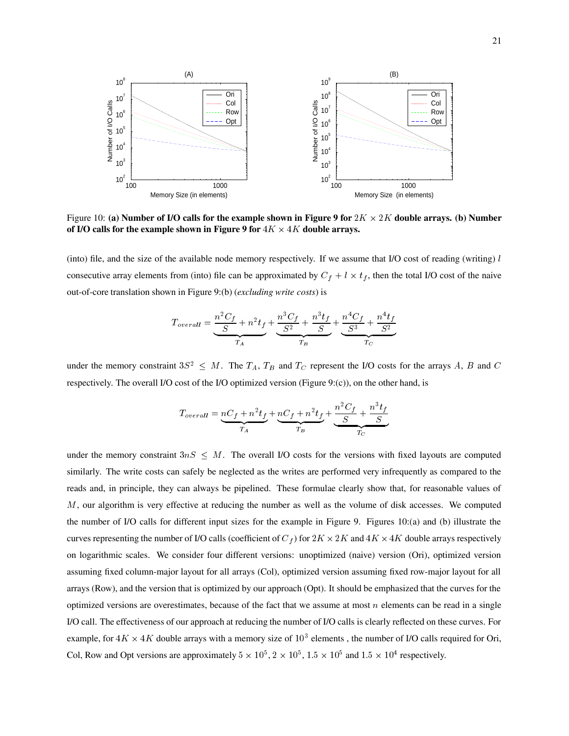

Figure 10: (a) Number of I/O calls for the example shown in Figure 9 for  $2K \times 2K$  double arrays. (b) Number **of I/O calls for the example shown in Figure 9 for**  $4K \times 4K$  **double arrays.** 

(into) file, and the size of the available node memory respectively. If we assume that I/O cost of reading (writing)  $l$ consecutive array elements from (into) file can be approximated by  $C_f + l \times t_f$ , then the total I/O cost of the naive out-of-core translation shown in Figure 9:(b) (*excluding write costs*) is

$$
T_{overall} = \underbrace{\frac{n^2 C_f}{S} + n^2 t_f}_{T_A} + \underbrace{\frac{n^3 C_f}{S^2} + \frac{n^3 t_f}{S}}_{T_B} + \underbrace{\frac{n^4 C_f}{S^3} + \frac{n^4 t_f}{S^2}}_{T_C}
$$

under the memory constraint  $3S^2 \leq M$ . The  $T_A$ ,  $T_B$  and  $T_C$  represent the I/O costs for the arrays A, B and C respectively. The overall I/O cost of the I/O optimized version (Figure 9:(c)), on the other hand, is

$$
T_{overall} = \underbrace{nC_f + n^2t_f}_{T_A} + \underbrace{nC_f + n^2t_f}_{T_B} + \underbrace{\frac{n^2C_f}{S} + \frac{n^3t_f}{S}}_{T_C}
$$

under the memory constraint  $3nS < M$ . The overall I/O costs for the versions with fixed layouts are computed similarly. The write costs can safely be neglected as the writes are performed very infrequently as compared to the reads and, in principle, they can always be pipelined. These formulae clearly show that, for reasonable values of M, our algorithm is very effective at reducing the number as well as the volume of disk accesses. We computed the number of I/O calls for different input sizes for the example in Figure 9. Figures 10:(a) and (b) illustrate the curves representing the number of I/O calls (coefficient of  $C_f$ ) for  $2K \times 2K$  and  $4K \times 4K$  double arrays respectively on logarithmic scales. We consider four different versions: unoptimized (naive) version (Ori), optimized version assuming fixed column-major layout for all arrays (Col), optimized version assuming fixed row-major layout for all arrays (Row), and the version that is optimized by our approach (Opt). It should be emphasized that the curves for the optimized versions are overestimates, because of the fact that we assume at most  $n$  elements can be read in a single I/O call. The effectiveness of our approach at reducing the number of I/O calls is clearly reflected on these curves. For example, for  $4K \times 4K$  double arrays with a memory size of  $10^3$  elements, the number of I/O calls required for Ori, Col, Row and Opt versions are approximately  $5 \times 10^5$ ,  $2 \times 10^5$ ,  $1.5 \times 10^5$  and  $1.5 \times 10^4$  respectively.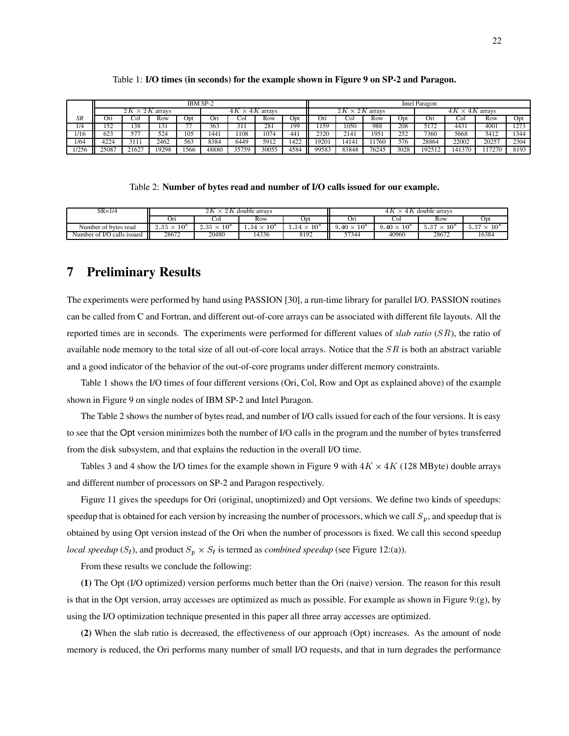|       | IBM SP-2                                                    |                |      |      |                                                 |       | Intel Paragon |      |       |       |       |      |        |                  |       |      |
|-------|-------------------------------------------------------------|----------------|------|------|-------------------------------------------------|-------|---------------|------|-------|-------|-------|------|--------|------------------|-------|------|
|       | 2K<br>$\times~2K$<br>$\times$ 4K<br>4 K<br>arrays<br>arrays |                |      |      | 2K<br>$\times$ 2K arrays<br>4 K<br>4K<br>arrays |       |               |      |       |       |       |      |        |                  |       |      |
| SR    | Oп                                                          | COI            | Row  | Opt  | Ori                                             | Col   | Row           | Opi  | On    | . Ol  | Row   | Opt  | Or1    | .`O.             | Row   | Opt  |
| 1/4   | 50<br>1 J 4                                                 | 138            | 131  |      | 363                                             | 311   | 28            | 199  | 159   | 1050  | 988   | 208  | 5172   | 443 <sub>1</sub> | 4001  | 1273 |
| 1/16  | 623                                                         | $- - -$<br>J I | 524  | 105  | 1441                                            | 1108  | 1074          | 441  | 2320  | 2141  | 1951  | 252  | 7360   | 5668             | 5412  | 1344 |
| 1/64  | 4224                                                        | 3111           | 2462 | 563  | 8384                                            | 6449  | 5912          | 1422 | 9201  | 14141 | 1760  | 576  | 28864  | 22002            | 20257 | 2304 |
| 1/256 | 25087                                                       | 21627          | 9298 | 1566 | 48880                                           | 35759 | 30055         | 4584 | 99583 | 83848 | 76245 | 3028 | 192517 | 141370           |       | 8193 |

#### Table 1: **I/O times (in seconds) for the example shown in Figure 9 on SP-2 and Paragon.**

#### Table 2: **Number of bytes read and number of I/O calls issued for our example.**

| $SR = 1/4$                 |                                 | $\times 2K$                                 | double arrays          |                           | 4K<br>double arrays<br>4K |                               |                               |                                  |
|----------------------------|---------------------------------|---------------------------------------------|------------------------|---------------------------|---------------------------|-------------------------------|-------------------------------|----------------------------------|
|                            | Oп                              | Col                                         | Row                    | Opt                       | UH                        | Col                           | Row                           | Opt                              |
| Number of bytes read       | $.35 \times$<br>10 <sup>°</sup> | $10^{\circ}$<br>$2.35 \times$<br><u> 2.</u> | 10 <sup>o</sup><br>.34 | 10 <sup>o</sup><br>. . 34 | $x \times 10^8$           | $9.40 \times$<br>$10^{\circ}$ | $10^{\circ}$<br>$5.37 \times$ | 5.37<br>$\times$ 10 <sup>8</sup> |
| Number of I/O calls issued | 28672                           | 20480                                       | 4336                   | 8192                      | 57344                     | 40960                         | 28672                         | 16384                            |

## **7 Preliminary Results**

The experiments were performed by hand using PASSION [30], a run-time library for parallel I/O. PASSION routines can be called from C and Fortran, and different out-of-core arrays can be associated with different file layouts. All the reported times are in seconds. The experiments were performed for different values of *slab ratio* (SR), the ratio of available node memory to the total size of all out-of-core local arrays. Notice that the  $SR$  is both an abstract variable and a good indicator of the behavior of the out-of-core programs under different memory constraints.

Table 1 shows the I/O times of four different versions (Ori, Col, Row and Opt as explained above) of the example shown in Figure 9 on single nodes of IBM SP-2 and Intel Paragon.

The Table 2 shows the number of bytes read, and number of I/O calls issued for each of the four versions. It is easy to see that the Opt version minimizes both the number of I/O calls in the program and the number of bytes transferred from the disk subsystem, and that explains the reduction in the overall I/O time.

Tables 3 and 4 show the I/O times for the example shown in Figure 9 with  $4K \times 4K$  (128 MByte) double arrays and different number of processors on SP-2 and Paragon respectively.

Figure 11 gives the speedups for Ori (original, unoptimized) and Opt versions. We define two kinds of speedups: speedup that is obtained for each version by increasing the number of processors, which we call  $S_p$ , and speedup that is obtained by using Opt version instead of the Ori when the number of processors is fixed. We call this second speedup *local speedup* ( $S_l$ ), and product  $S_p \times S_l$  is termed as *combined speedup* (see Figure 12:(a)).

From these results we conclude the following:

**(1)** The Opt (I/O optimized) version performs much better than the Ori (naive) version. The reason for this result is that in the Opt version, array accesses are optimized as much as possible. For example as shown in Figure 9:(g), by using the I/O optimization technique presented in this paper all three array accesses are optimized.

**(2)** When the slab ratio is decreased, the effectiveness of our approach (Opt) increases. As the amount of node memory is reduced, the Ori performs many number of small I/O requests, and that in turn degrades the performance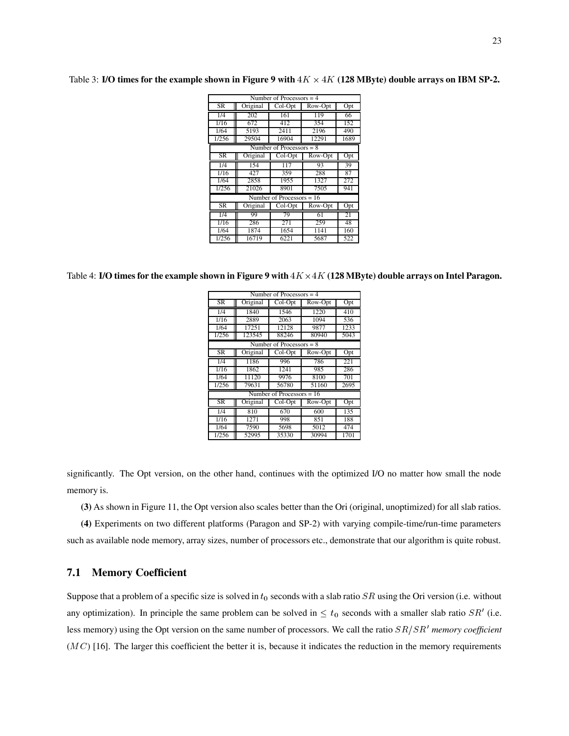| Number of Processors $=$ 4 |                            |                             |         |                  |  |  |  |  |  |
|----------------------------|----------------------------|-----------------------------|---------|------------------|--|--|--|--|--|
|                            |                            |                             |         |                  |  |  |  |  |  |
| <b>SR</b>                  | Original                   | Col-Opt                     | Row-Opt | $\overline{Opt}$ |  |  |  |  |  |
| 1/4                        | 202                        | 161                         | 119     | 66               |  |  |  |  |  |
| 1/16                       | 672                        | 412                         | 354     | 152              |  |  |  |  |  |
| 1/64                       | 5193                       | 2411                        | 2196    | 490              |  |  |  |  |  |
| 1/256                      | 29504                      | 16904                       | 12291   | 1689             |  |  |  |  |  |
|                            | Number of Processors = $8$ |                             |         |                  |  |  |  |  |  |
| <b>SR</b>                  | Original                   | Col-Opt                     | Row-Opt | Opt              |  |  |  |  |  |
| 1/4                        | 154                        | 117                         | 93      | 39               |  |  |  |  |  |
| 1/16                       | 427                        | 359                         | 288     | 87               |  |  |  |  |  |
| 1/64                       | 2858                       | 1955                        | 1327    | 272              |  |  |  |  |  |
| 1/256                      | 21026                      | 8901                        | 7505    | 941              |  |  |  |  |  |
|                            |                            | Number of Processors $= 16$ |         |                  |  |  |  |  |  |
| <b>SR</b>                  | Original                   | Col-Opt                     | Row-Opt | Opt              |  |  |  |  |  |
| 1/4                        | 99                         | 79                          | 61      | 21               |  |  |  |  |  |
| 1/16                       | 286                        | 271                         | 259     | 48               |  |  |  |  |  |
| 1/64                       | 1874                       | 1654                        | 1141    | 160              |  |  |  |  |  |
| 1/256                      | 16719                      | 6221                        | 5687    | 522              |  |  |  |  |  |

Table 3: **I/O times for the example shown in Figure 9 with**  $4K \times 4K$  (128 MByte) double arrays on IBM SP-2.

Table 4: **I/O times for the example shown in Figure 9 with**  $4K \times 4K$  (128 MByte) double arrays on Intel Paragon.

| Number of Processors $=$ 4 |                            |                             |         |      |  |  |  |  |  |  |
|----------------------------|----------------------------|-----------------------------|---------|------|--|--|--|--|--|--|
| <b>SR</b>                  | Original                   | Col-Opt                     | Row-Opt | Opt  |  |  |  |  |  |  |
| 1/4                        | 1840                       | 1546                        | 1220    | 410  |  |  |  |  |  |  |
| 1/16                       | 2889                       | 2063                        | 1094    | 536  |  |  |  |  |  |  |
| 1/64                       | 17251                      | 12128                       | 9877    | 1233 |  |  |  |  |  |  |
| 1/256                      | 123545                     | 88246                       | 80940   | 5043 |  |  |  |  |  |  |
|                            | Number of Processors = $8$ |                             |         |      |  |  |  |  |  |  |
| <b>SR</b>                  | Original                   | Col-Opt                     | Row-Opt | Opt  |  |  |  |  |  |  |
| 1/4                        | 1186                       | 996                         | 786     | 221  |  |  |  |  |  |  |
| 1/16                       | 1862                       | 1241                        | 985     | 286  |  |  |  |  |  |  |
| 1/64                       | 11120                      | 9976                        | 8100    | 701  |  |  |  |  |  |  |
| 1/256                      | 79631                      | 56780                       | 51160   | 2695 |  |  |  |  |  |  |
|                            |                            | Number of Processors = $16$ |         |      |  |  |  |  |  |  |
| SR                         | Original                   | $Col-Opt$                   | Row-Opt | Opt  |  |  |  |  |  |  |
| 1/4                        | 810                        | 670                         | 600     | 135  |  |  |  |  |  |  |
| 1/16                       | 1271                       | 998                         | 851     | 188  |  |  |  |  |  |  |
| 1/64                       | 7590                       | 5698                        | 5012    | 474  |  |  |  |  |  |  |
| 1/256                      | 52995                      | 35330                       | 30994   | 1701 |  |  |  |  |  |  |

significantly. The Opt version, on the other hand, continues with the optimized I/O no matter how small the node memory is.

**(3)** As shown in Figure 11, the Opt version also scales better than the Ori (original, unoptimized) for all slab ratios.

**(4)** Experiments on two different platforms (Paragon and SP-2) with varying compile-time/run-time parameters such as available node memory, array sizes, number of processors etc., demonstrate that our algorithm is quite robust.

### **7.1 Memory Coefficient**

Suppose that a problem of a specific size is solved in  $t_0$  seconds with a slab ratio  $SR$  using the Ori version (i.e. without any optimization). In principle the same problem can be solved in  $\leq t_0$  seconds with a smaller slab ratio  $SR'$  (i.e. less memory) using the Opt version on the same number of processors. We call the ratio  $SR/SR'$  memory coefficient  $(MC)$  [16]. The larger this coefficient the better it is, because it indicates the reduction in the memory requirements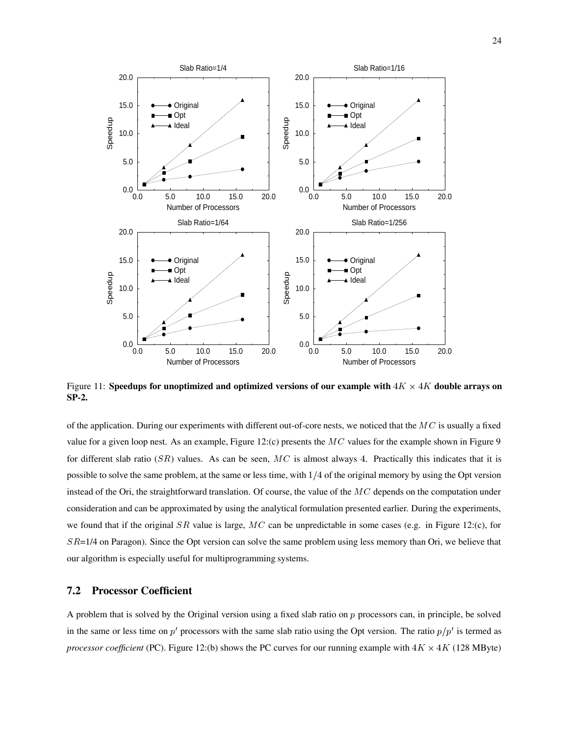

Figure 11: **Speedups for unoptimized and optimized versions of our example with**  $4K \times 4K$  double arrays on **SP-2.**

of the application. During our experiments with different out-of-core nests, we noticed that the  $MC$  is usually a fixed value for a given loop nest. As an example, Figure 12:(c) presents the  $MC$  values for the example shown in Figure 9 for different slab ratio (SR) values. As can be seen,  $MC$  is almost always 4. Practically this indicates that it is possible to solve the same problem, at the same or less time, with  $1/4$  of the original memory by using the Opt version instead of the Ori, the straightforward translation. Of course, the value of the  $MC$  depends on the computation under consideration and can be approximated by using the analytical formulation presented earlier. During the experiments, we found that if the original SR value is large,  $MC$  can be unpredictable in some cases (e.g. in Figure 12:(c), for  $SR=1/4$  on Paragon). Since the Opt version can solve the same problem using less memory than Ori, we believe that our algorithm is especially useful for multiprogramming systems.

#### **7.2 Processor Coefficient**

A problem that is solved by the Original version using a fixed slab ratio on  $p$  processors can, in principle, be solved in the same or less time on  $p'$  processors with the same slab ratio using the Opt version. The ratio  $p/p'$  is termed as *processor coefficient* (PC). Figure 12:(b) shows the PC curves for our running example with  $4K \times 4K$  (128 MByte)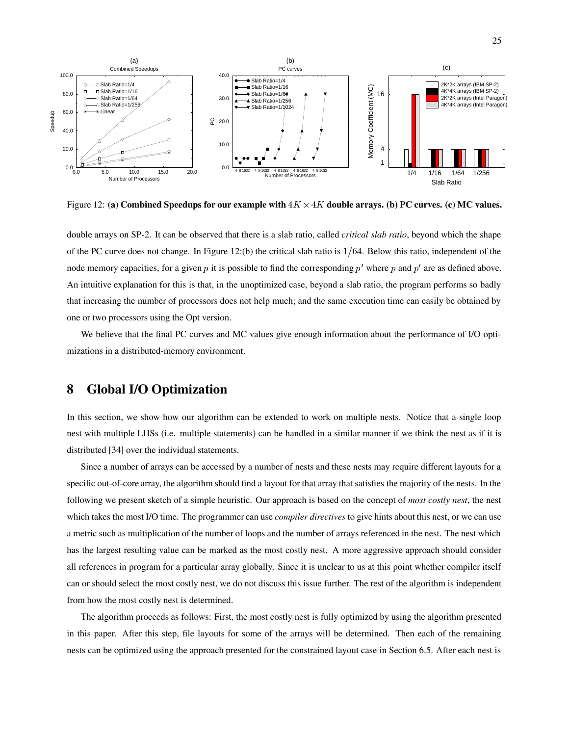

Figure 12: **(a) Combined Speedups for our example with**  $4K \times 4K$  **double arrays. (b) PC curves. (c) MC values.** 

double arrays on SP-2. It can be observed that there is a slab ratio, called *critical slab ratio*, beyond which the shape of the PC curve does not change. In Figure 12:(b) the critical slab ratio is  $1/64$ . Below this ratio, independent of the node memory capacities, for a given p it is possible to find the corresponding p' where p and p' are as defined above. An intuitive explanation for this is that, in the unoptimized case, beyond a slab ratio, the program performs so badly that increasing the number of processors does not help much; and the same execution time can easily be obtained by one or two processors using the Opt version.

We believe that the final PC curves and MC values give enough information about the performance of I/O optimizations in a distributed-memory environment.

## **8 Global I/O Optimization**

In this section, we show how our algorithm can be extended to work on multiple nests. Notice that a single loop nest with multiple LHSs (i.e. multiple statements) can be handled in a similar manner if we think the nest as if it is distributed [34] over the individual statements.

Since a number of arrays can be accessed by a number of nests and these nests may require different layouts for a specific out-of-core array, the algorithm should find a layout for that array that satisfies the majority of the nests. In the following we present sketch of a simple heuristic. Our approach is based on the concept of *most costly nest*, the nest which takes the most I/O time. The programmer can use *compiler directives* to give hints about this nest, or we can use a metric such as multiplication of the number of loops and the number of arrays referenced in the nest. The nest which has the largest resulting value can be marked as the most costly nest. A more aggressive approach should consider all references in program for a particular array globally. Since it is unclear to us at this point whether compiler itself can or should select the most costly nest, we do not discuss this issue further. The rest of the algorithm is independent from how the most costly nest is determined.

The algorithm proceeds as follows: First, the most costly nest is fully optimized by using the algorithm presented in this paper. After this step, file layouts for some of the arrays will be determined. Then each of the remaining nests can be optimized using the approach presented for the constrained layout case in Section 6.5. After each nest is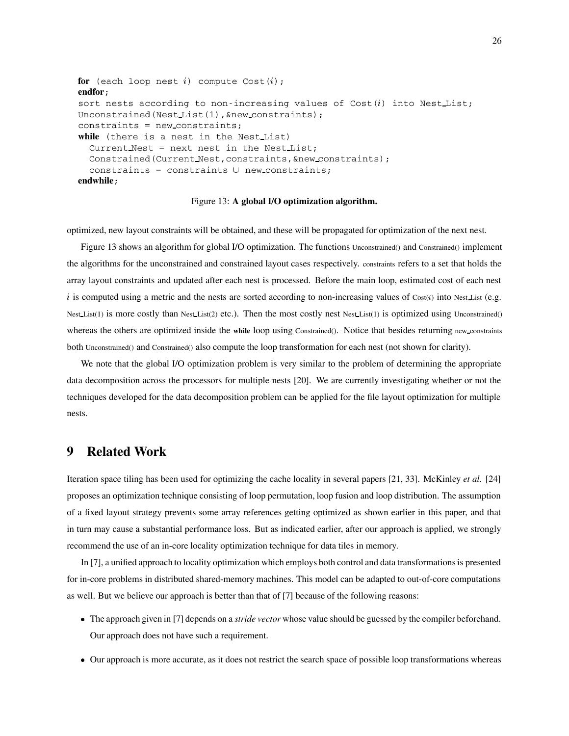```
for (each loop nest i) compute Cost(i);
endfor;
sort nests according to non-increasing values of Cost(i) into Nest List;
Unconstrained(NestList(1), &new_constraints);
constraints = new constraints;
while (there is a nest in the Nest List)
  Current Nest = next nest in the Nest List;
  Constrained(Current Nest,constraints,&new constraints);
  constraints = constraints \cup new constraints;
endwhile;
```
Figure 13: **A global I/O optimization algorithm.**

optimized, new layout constraints will be obtained, and these will be propagated for optimization of the next nest.

Figure 13 shows an algorithm for global I/O optimization. The functions Unconstrained() and Constrained() implement the algorithms for the unconstrained and constrained layout cases respectively. constraints refers to a set that holds the array layout constraints and updated after each nest is processed. Before the main loop, estimated cost of each nest i is computed using a metric and the nests are sorted according to non-increasing values of  $Cost(i)$  into Nest List (e.g. Nest List(1) is more costly than Nest List(2) etc.). Then the most costly nest Nest List(1) is optimized using Unconstrained() whereas the others are optimized inside the while loop using Constrained(). Notice that besides returning new constraints both Unconstrained() and Constrained() also compute the loop transformation for each nest (not shown for clarity).

We note that the global I/O optimization problem is very similar to the problem of determining the appropriate data decomposition across the processors for multiple nests [20]. We are currently investigating whether or not the techniques developed for the data decomposition problem can be applied for the file layout optimization for multiple nests.

### **9 Related Work**

Iteration space tiling has been used for optimizing the cache locality in several papers [21, 33]. McKinley *et al.* [24] proposes an optimization technique consisting of loop permutation, loop fusion and loop distribution. The assumption of a fixed layout strategy prevents some array references getting optimized as shown earlier in this paper, and that in turn may cause a substantial performance loss. But as indicated earlier, after our approach is applied, we strongly recommend the use of an in-core locality optimization technique for data tiles in memory.

In [7], a unified approach to locality optimization which employs both control and data transformations is presented for in-core problems in distributed shared-memory machines. This model can be adapted to out-of-core computations as well. But we believe our approach is better than that of [7] because of the following reasons:

- The approach given in [7] depends on a *stride vector* whose value should be guessed by the compiler beforehand. Our approach does not have such a requirement.
- Our approach is more accurate, as it does not restrict the search space of possible loop transformations whereas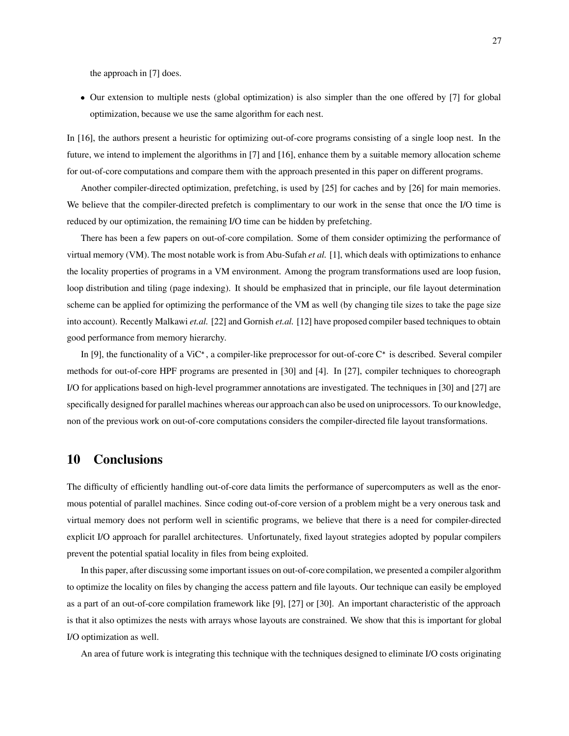the approach in [7] does.

 Our extension to multiple nests (global optimization) is also simpler than the one offered by [7] for global optimization, because we use the same algorithm for each nest.

In [16], the authors present a heuristic for optimizing out-of-core programs consisting of a single loop nest. In the future, we intend to implement the algorithms in [7] and [16], enhance them by a suitable memory allocation scheme for out-of-core computations and compare them with the approach presented in this paper on different programs.

Another compiler-directed optimization, prefetching, is used by [25] for caches and by [26] for main memories. We believe that the compiler-directed prefetch is complimentary to our work in the sense that once the I/O time is reduced by our optimization, the remaining I/O time can be hidden by prefetching.

There has been a few papers on out-of-core compilation. Some of them consider optimizing the performance of virtual memory (VM). The most notable work is from Abu-Sufah *et al.* [1], which deals with optimizations to enhance the locality properties of programs in a VM environment. Among the program transformations used are loop fusion, loop distribution and tiling (page indexing). It should be emphasized that in principle, our file layout determination scheme can be applied for optimizing the performance of the VM as well (by changing tile sizes to take the page size into account). Recently Malkawi *et.al.* [22] and Gornish *et.al.* [12] have proposed compiler based techniques to obtain good performance from memory hierarchy.

In [9], the functionality of a ViC<sup>\*</sup>, a compiler-like preprocessor for out-of-core  $C^*$  is described. Several compiler methods for out-of-core HPF programs are presented in [30] and [4]. In [27], compiler techniques to choreograph I/O for applications based on high-level programmer annotations are investigated. The techniques in [30] and [27] are specifically designed for parallel machines whereas our approach can also be used on uniprocessors. To our knowledge, non of the previous work on out-of-core computations considers the compiler-directed file layout transformations.

## **10 Conclusions**

The difficulty of efficiently handling out-of-core data limits the performance of supercomputers as well as the enormous potential of parallel machines. Since coding out-of-core version of a problem might be a very onerous task and virtual memory does not perform well in scientific programs, we believe that there is a need for compiler-directed explicit I/O approach for parallel architectures. Unfortunately, fixed layout strategies adopted by popular compilers prevent the potential spatial locality in files from being exploited.

In this paper, after discussing some important issues on out-of-core compilation, we presented a compiler algorithm to optimize the locality on files by changing the access pattern and file layouts. Our technique can easily be employed as a part of an out-of-core compilation framework like [9], [27] or [30]. An important characteristic of the approach is that it also optimizes the nests with arrays whose layouts are constrained. We show that this is important for global I/O optimization as well.

An area of future work is integrating this technique with the techniques designed to eliminate I/O costs originating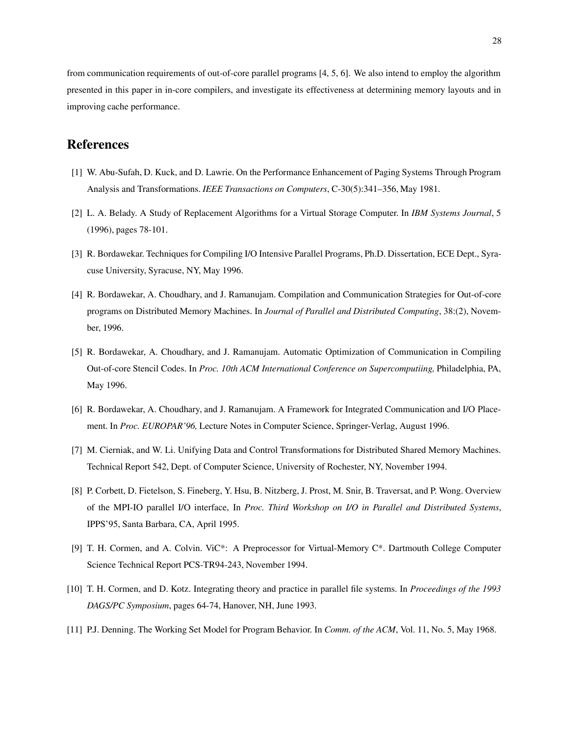from communication requirements of out-of-core parallel programs [4, 5, 6]. We also intend to employ the algorithm presented in this paper in in-core compilers, and investigate its effectiveness at determining memory layouts and in improving cache performance.

## **References**

- [1] W. Abu-Sufah, D. Kuck, and D. Lawrie. On the Performance Enhancement of Paging Systems Through Program Analysis and Transformations. *IEEE Transactions on Computers*, C-30(5):341–356, May 1981.
- [2] L. A. Belady. A Study of Replacement Algorithms for a Virtual Storage Computer. In *IBM Systems Journal*, 5 (1996), pages 78-101.
- [3] R. Bordawekar. Techniques for Compiling I/O Intensive Parallel Programs, Ph.D. Dissertation, ECE Dept., Syracuse University, Syracuse, NY, May 1996.
- [4] R. Bordawekar, A. Choudhary, and J. Ramanujam. Compilation and Communication Strategies for Out-of-core programs on Distributed Memory Machines. In *Journal of Parallel and Distributed Computing*, 38:(2), November, 1996.
- [5] R. Bordawekar, A. Choudhary, and J. Ramanujam. Automatic Optimization of Communication in Compiling Out-of-core Stencil Codes. In *Proc. 10th ACM International Conference on Supercomputiing,* Philadelphia, PA, May 1996.
- [6] R. Bordawekar, A. Choudhary, and J. Ramanujam. A Framework for Integrated Communication and I/O Placement. In *Proc. EUROPAR'96,* Lecture Notes in Computer Science, Springer-Verlag, August 1996.
- [7] M. Cierniak, and W. Li. Unifying Data and Control Transformations for Distributed Shared Memory Machines. Technical Report 542, Dept. of Computer Science, University of Rochester, NY, November 1994.
- [8] P. Corbett, D. Fietelson, S. Fineberg, Y. Hsu, B. Nitzberg, J. Prost, M. Snir, B. Traversat, and P. Wong. Overview of the MPI-IO parallel I/O interface, In *Proc. Third Workshop on I/O in Parallel and Distributed Systems*, IPPS'95, Santa Barbara, CA, April 1995.
- [9] T. H. Cormen, and A. Colvin. ViC\*: A Preprocessor for Virtual-Memory C\*. Dartmouth College Computer Science Technical Report PCS-TR94-243, November 1994.
- [10] T. H. Cormen, and D. Kotz. Integrating theory and practice in parallel file systems. In *Proceedings of the 1993 DAGS/PC Symposium*, pages 64-74, Hanover, NH, June 1993.
- [11] P.J. Denning. The Working Set Model for Program Behavior. In *Comm. of the ACM*, Vol. 11, No. 5, May 1968.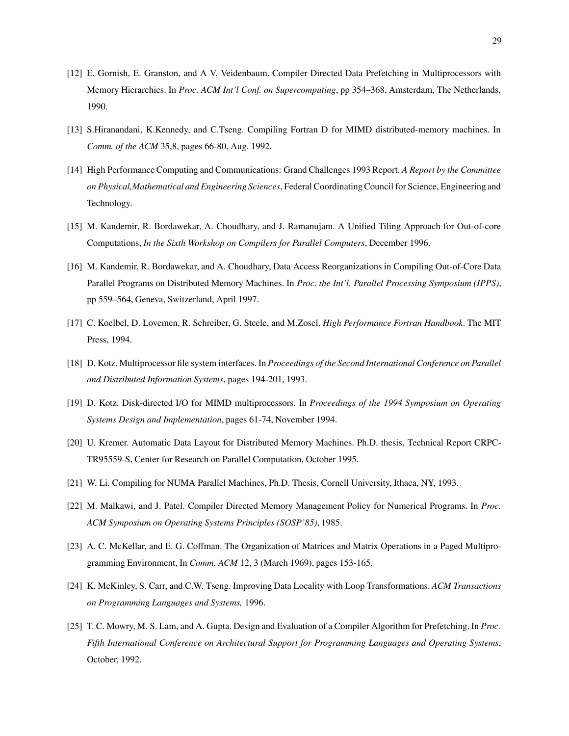- [12] E. Gornish, E. Granston, and A V. Veidenbaum. Compiler Directed Data Prefetching in Multiprocessors with Memory Hierarchies. In *Proc. ACM Int'l Conf. on Supercomputing*, pp 354–368, Amsterdam, The Netherlands, 1990.
- [13] S.Hiranandani, K.Kennedy, and C.Tseng. Compiling Fortran D for MIMD distributed-memory machines. In *Comm. of the ACM* 35,8, pages 66-80, Aug. 1992.
- [14] High Performance Computing and Communications: Grand Challenges 1993 Report. *A Report by the Committee on Physical,Mathematical and Engineering Sciences*, Federal Coordinating Council for Science, Engineering and Technology.
- [15] M. Kandemir, R. Bordawekar, A. Choudhary, and J. Ramanujam. A Unified Tiling Approach for Out-of-core Computations, *In the Sixth Workshop on Compilers for Parallel Computers*, December 1996.
- [16] M. Kandemir, R. Bordawekar, and A. Choudhary, Data Access Reorganizations in Compiling Out-of-Core Data Parallel Programs on Distributed Memory Machines. In *Proc. the Int'l. Parallel Processing Symposium (IPPS)*, pp 559–564, Geneva, Switzerland, April 1997.
- [17] C. Koelbel, D. Lovemen, R. Schreiber, G. Steele, and M.Zosel. *High Performance Fortran Handbook*. The MIT Press, 1994.
- [18] D. Kotz. Multiprocessor file system interfaces. In *Proceedings of the Second International Conference on Parallel and Distributed Information Systems*, pages 194-201, 1993.
- [19] D. Kotz. Disk-directed I/O for MIMD multiprocessors. In *Proceedings of the 1994 Symposium on Operating Systems Design and Implementation*, pages 61-74, November 1994.
- [20] U. Kremer. Automatic Data Layout for Distributed Memory Machines. Ph.D. thesis, Technical Report CRPC-TR95559-S, Center for Research on Parallel Computation, October 1995.
- [21] W. Li. Compiling for NUMA Parallel Machines, Ph.D. Thesis, Cornell University, Ithaca, NY, 1993.
- [22] M. Malkawi, and J. Patel. Compiler Directed Memory Management Policy for Numerical Programs. In *Proc. ACM Symposium on Operating Systems Principles (SOSP'85)*, 1985.
- [23] A. C. McKellar, and E. G. Coffman. The Organization of Matrices and Matrix Operations in a Paged Multiprogramming Environment, In *Comm. ACM* 12, 3 (March 1969), pages 153-165.
- [24] K. McKinley, S. Carr, and C.W. Tseng. Improving Data Locality with Loop Transformations. *ACM Transactions on Programming Languages and Systems,* 1996.
- [25] T. C. Mowry, M. S. Lam, and A. Gupta. Design and Evaluation of a Compiler Algorithm for Prefetching. In *Proc. Fifth International Conference on Architectural Support for Programming Languages and Operating Systems*, October, 1992.